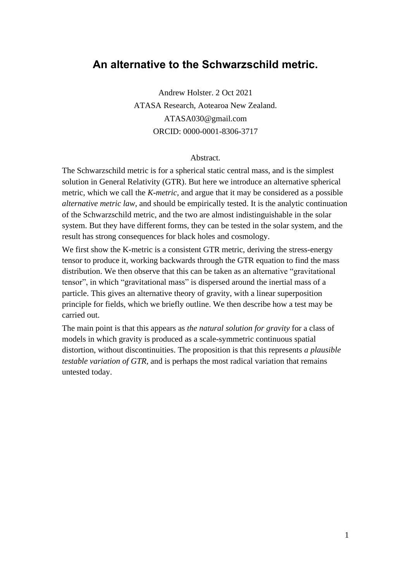# **An alternative to the Schwarzschild metric.**

Andrew Holster. 2 Oct 2021 ATASA Research, Aotearoa New Zealand. ATASA030@gmail.com ORCID: 0000-0001-8306-3717

#### Abstract.

The Schwarzschild metric is for a spherical static central mass, and is the simplest solution in General Relativity (GTR). But here we introduce an alternative spherical metric, which we call the *K-metric,* and argue that it may be considered as a possible *alternative metric law*, and should be empirically tested. It is the analytic continuation of the Schwarzschild metric, and the two are almost indistinguishable in the solar system. But they have different forms, they can be tested in the solar system, and the result has strong consequences for black holes and cosmology.

We first show the K-metric is a consistent GTR metric, deriving the stress-energy tensor to produce it, working backwards through the GTR equation to find the mass distribution. We then observe that this can be taken as an alternative "gravitational tensor", in which "gravitational mass" is dispersed around the inertial mass of a particle. This gives an alternative theory of gravity, with a linear superposition principle for fields, which we briefly outline. We then describe how a test may be carried out.

The main point is that this appears as *the natural solution for gravity* for a class of models in which gravity is produced as a scale-symmetric continuous spatial distortion, without discontinuities. The proposition is that this represents *a plausible testable variation of GTR,* and is perhaps the most radical variation that remains untested today.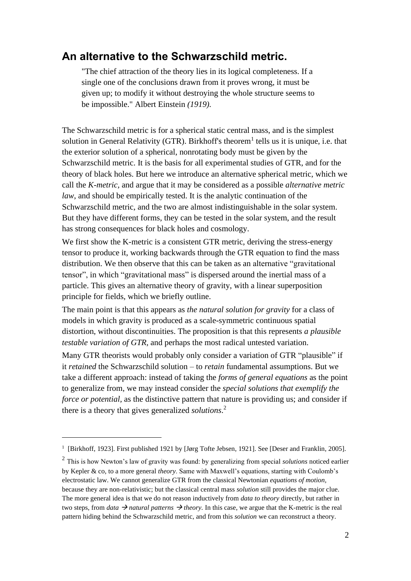# **An alternative to the Schwarzschild metric.**

"The chief attraction of the theory lies in its logical completeness. If a single one of the conclusions drawn from it proves wrong, it must be given up; to modify it without destroying the whole structure seems to be impossible." Albert Einstein *(1919).* 

The Schwarzschild metric is for a spherical static central mass, and is the simplest solution in General Relativity (GTR). Birkhoff's theorem<sup>1</sup> tells us it is unique, i.e. that the exterior solution of a spherical, nonrotating body must be given by the Schwarzschild metric. It is the basis for all experimental studies of GTR, and for the theory of black holes. But here we introduce an alternative spherical metric, which we call the *K-metric,* and argue that it may be considered as a possible *alternative metric law*, and should be empirically tested. It is the analytic continuation of the Schwarzschild metric, and the two are almost indistinguishable in the solar system. But they have different forms, they can be tested in the solar system, and the result has strong consequences for black holes and cosmology.

We first show the K-metric is a consistent GTR metric, deriving the stress-energy tensor to produce it, working backwards through the GTR equation to find the mass distribution. We then observe that this can be taken as an alternative "gravitational tensor", in which "gravitational mass" is dispersed around the inertial mass of a particle. This gives an alternative theory of gravity, with a linear superposition principle for fields, which we briefly outline.

The main point is that this appears as *the natural solution for gravity* for a class of models in which gravity is produced as a scale-symmetric continuous spatial distortion, without discontinuities. The proposition is that this represents *a plausible testable variation of GTR,* and perhaps the most radical untested variation.

Many GTR theorists would probably only consider a variation of GTR "plausible" if it *retained* the Schwarzschild solution – to *retain* fundamental assumptions. But we take a different approach: instead of taking the *forms of general equations* as the point to generalize from, we may instead consider the *special solutions that exemplify the force or potential*, as the distinctive pattern that nature is providing us; and consider if there is a theory that gives generalized *solutions*. 2

<sup>&</sup>lt;sup>1</sup> [Birkhoff, 1923]. First published 1921 by [Jørg Tofte Jebsen, 1921]. See [Deser and Franklin, 2005].

<sup>2</sup> This is how Newton's law of gravity was found: by generalizing from special *solutions* noticed earlier by Kepler & co, to a more general *theory*. Same with Maxwell's equations, starting with Coulomb's electrostatic law. We cannot generalize GTR from the classical Newtonian *equations of motion,*  because they are non-relativistic; but the classical central mass *solution* still provides the major clue. The more general idea is that we do not reason inductively from *data to theory* directly*,* but rather in two steps, from *data*  $\rightarrow$  *natural patterns*  $\rightarrow$  *theory*. In this case, we argue that the K-metric is the real pattern hiding behind the Schwarzschild metric, and from this *solution* we can reconstruct a theory.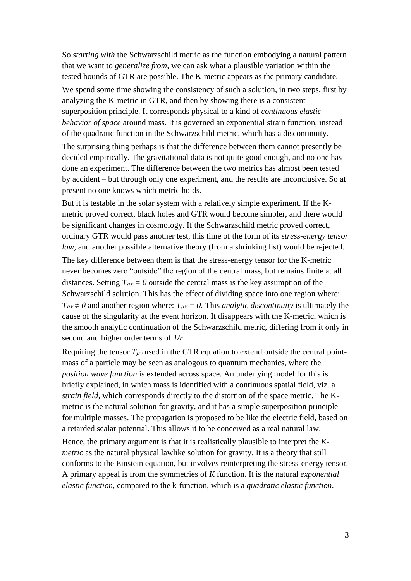So *starting with* the Schwarzschild metric as the function embodying a natural pattern that we want to *generalize from,* we can ask what a plausible variation within the tested bounds of GTR are possible. The K-metric appears as the primary candidate. We spend some time showing the consistency of such a solution, in two steps, first by analyzing the K-metric in GTR, and then by showing there is a consistent superposition principle. It corresponds physical to a kind of *continuous elastic behavior of space* around mass. It is governed an exponential strain function, instead of the quadratic function in the Schwarzschild metric, which has a discontinuity.

The surprising thing perhaps is that the difference between them cannot presently be decided empirically. The gravitational data is not quite good enough, and no one has done an experiment. The difference between the two metrics has almost been tested by accident – but through only one experiment, and the results are inconclusive. So at present no one knows which metric holds.

But it is testable in the solar system with a relatively simple experiment. If the Kmetric proved correct, black holes and GTR would become simpler, and there would be significant changes in cosmology. If the Schwarzschild metric proved correct, ordinary GTR would pass another test, this time of the form of its *stress-energy tensor law*, and another possible alternative theory (from a shrinking list) would be rejected.

The key difference between them is that the stress-energy tensor for the K-metric never becomes zero "outside" the region of the central mass, but remains finite at all distances. Setting  $T_{\mu\nu} = 0$  outside the central mass is the key assumption of the Schwarzschild solution. This has the effect of dividing space into one region where:  $T_{\mu\nu} \neq 0$  and another region where:  $T_{\mu\nu} = 0$ . This *analytic discontinuity* is ultimately the cause of the singularity at the event horizon. It disappears with the K-metric, which is the smooth analytic continuation of the Schwarzschild metric, differing from it only in second and higher order terms of *1/r*.

Requiring the tensor  $T_{\mu\nu}$  used in the GTR equation to extend outside the central pointmass of a particle may be seen as analogous to quantum mechanics, where the *position wave function* is extended across space. An underlying model for this is briefly explained, in which mass is identified with a continuous spatial field, viz. a *strain field,* which corresponds directly to the distortion of the space metric. The Kmetric is the natural solution for gravity, and it has a simple superposition principle for multiple masses. The propagation is proposed to be like the electric field, based on a retarded scalar potential. This allows it to be conceived as a real natural law.

Hence, the primary argument is that it is realistically plausible to interpret the *Kmetric* as the natural physical lawlike solution for gravity. It is a theory that still conforms to the Einstein equation, but involves reinterpreting the stress-energy tensor. A primary appeal is from the symmetries of *K* function. It is the natural *exponential elastic function,* compared to the k-function, which is a *quadratic elastic function*.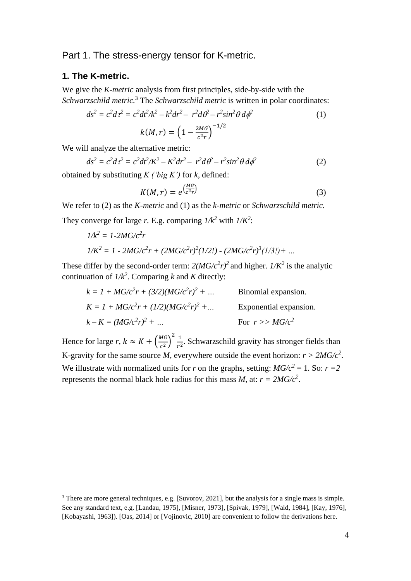## Part 1. The stress-energy tensor for K-metric.

#### **1. The K-metric.**

We give the *K-metric* analysis from first principles, side-by-side with the *Schwarzschild metric.*<sup>3</sup> The *Schwarzschild metric* is written in polar coordinates:

$$
ds^{2} = c^{2}dt^{2} = c^{2}dt^{2}/k^{2} - k^{2}dr^{2} - r^{2}d\theta - r^{2}sin^{2}\theta d\phi^{2}
$$
\n
$$
k(M,r) = \left(1 - \frac{2MG}{c^{2}r}\right)^{-1/2}
$$
\n(1)

We will analyze the alternative metric:

$$
ds^{2} = c^{2}d\tau^{2} = c^{2}dt^{2}/K^{2} - K^{2}dr^{2} - r^{2}d\theta^{2} - r^{2}sin^{2}\theta d\phi^{2}
$$
 (2)

obtained by substituting *K ('big K')* for *k,* defined:

$$
K(M,r) = e^{\left(\frac{MG}{c^2r}\right)}\tag{3}
$$

We refer to (2) as the *K-metric* and (1) as the *k-metric* or *Schwarzschild metric.* They converge for large *r*. E.g. comparing  $1/k^2$  with  $1/K^2$ :

$$
1/k^{2} = 1-2MG/c^{2}r
$$
  

$$
1/K^{2} = 1-2MG/c^{2}r + (2MG/c^{2}r)^{2}(1/2!) - (2MG/c^{2}r)^{3}(1/3!) + ...
$$

These differ by the second-order term:  $2(MG/c^2r)^2$  and higher.  $1/K^2$  is the analytic continuation of  $1/k^2$ . Comparing *k* and *K* directly:

$$
k = 1 + MG/c2r + (3/2)(MG/c2r)2 + ...
$$
 Binomial expansion.  
\n
$$
K = 1 + MG/c2r + (1/2)(MG/c2r)2 + ...
$$
Exponential expansion.  
\n
$$
k - K = (MG/c2r)2 + ...
$$
 For  $r > MG/c2$ 

Hence for large *r*,  $k \approx K + \left(\frac{MG}{c^2}\right)$  $\left(\frac{NG}{c^2}\right)^2 \frac{1}{r^2}$  $\frac{1}{r^2}$ . Schwarzschild gravity has stronger fields than K-gravity for the same source *M*, everywhere outside the event horizon:  $r > 2MG/c^2$ . We illustrate with normalized units for *r* on the graphs, setting:  $MG/c^2 = 1$ . So:  $r = 2$ represents the normal black hole radius for this mass *M*, at:  $r = 2MG/c^2$ .

<sup>&</sup>lt;sup>3</sup> There are more general techniques, e.g. [Suvorov, 2021], but the analysis for a single mass is simple. See any standard text, e.g. [Landau, 1975]*,* [Misner, 1973]*,* [Spivak, 1979], [Wald, 1984], [Kay, 1976], [Kobayashi, 1963]). [Oas, 2014] or [Vojinovic, 2010] are convenient to follow the derivations here.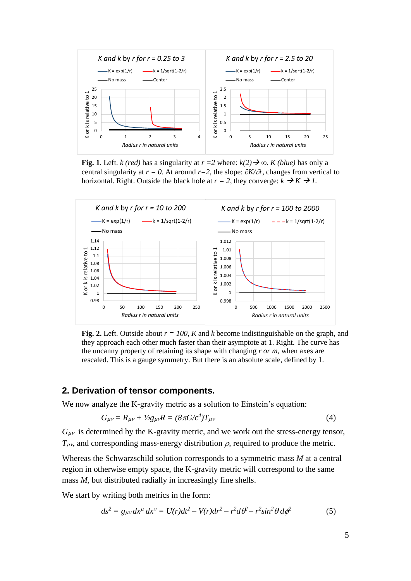

**Fig. 1**. Left. *k* (*red*) has a singularity at  $r = 2$  where:  $k(2) \rightarrow \infty$ . *K* (*blue*) has only a central singularity at  $r = 0$ . At around  $r=2$ , the slope:  $\partial K/\partial r$ , changes from vertical to horizontal. Right. Outside the black hole at  $r = 2$ , they converge:  $k \rightarrow K \rightarrow I$ .



**Fig. 2.** Left. Outside about *r = 100, K* and *k* become indistinguishable on the graph, and they approach each other much faster than their asymptote at 1. Right. The curve has the uncanny property of retaining its shape with changing *r or m*, when axes are rescaled. This is a gauge symmetry. But there is an absolute scale, defined by 1.

#### **2. Derivation of tensor components.**

We now analyze the K-gravity metric as a solution to Einstein's equation:

$$
G_{\mu\nu} = R_{\mu\nu} + \frac{1}{2}g_{\mu\nu}R = (8\pi G/c^4)T_{\mu\nu}
$$
 (4)

 $G_{\mu\nu}$  is determined by the K-gravity metric, and we work out the stress-energy tensor,  $T_{\mu\nu}$ , and corresponding mass-energy distribution  $\rho$ , required to produce the metric.

Whereas the Schwarzschild solution corresponds to a symmetric mass *M* at a central region in otherwise empty space, the K-gravity metric will correspond to the same mass *M*, but distributed radially in increasingly fine shells.

We start by writing both metrics in the form:

$$
ds^{2} = g_{\mu\nu}dx^{\mu} dx^{\nu} = U(r)dt^{2} - V(r)dr^{2} - r^{2}d\theta^{2} - r^{2}\sin^{2}\theta d\phi^{2}
$$
 (5)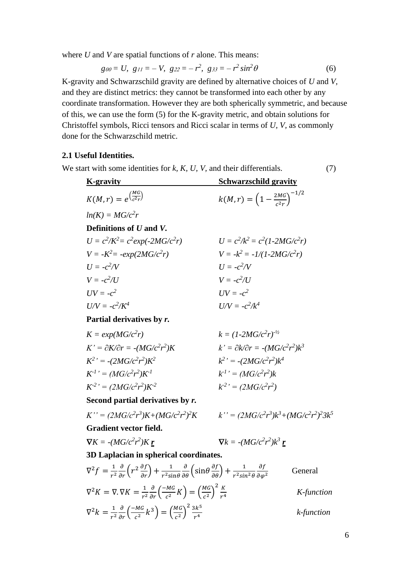where *U* and *V* are spatial functions of *r* alone. This means:

$$
g\omega = U, \quad g_{11} = -V, \quad g_{22} = -r^2, \quad g_{33} = -r^2 \sin^2 \theta \tag{6}
$$

K-gravity and Schwarzschild gravity are defined by alternative choices of *U* and *V,*  and they are distinct metrics: they cannot be transformed into each other by any coordinate transformation. However they are both spherically symmetric, and because of this, we can use the form (5) for the K-gravity metric, and obtain solutions for Christoffel symbols, Ricci tensors and Ricci scalar in terms of *U, V,* as commonly done for the Schwarzschild metric.

### **2.1 Useful Identities.**

We start with some identities for *k, K, U, V,* and their differentials. (7)

| <b>K-gravity</b>                             | <b>Schwarzschild gravity</b>                        |  |
|----------------------------------------------|-----------------------------------------------------|--|
| $K(M,r) = e^{\left(\frac{MG}{c^2r}\right)}$  | $k(M,r) = \left(1 - \frac{2MG}{c^2m}\right)^{-1/2}$ |  |
| $ln(K) = MG/c^2r$                            |                                                     |  |
| Definitions of U and V.                      |                                                     |  |
| $U = c^2/K^2 = c^2 exp(-2MG/c^2r)$           | $U = c^2/k^2 = c^2(1-2MG/c^2r)$                     |  |
| $V = -K^2 = -exp(2MG/c^2r)$                  | $V = -k^2 = -1/(1-2MG/c^2r)$                        |  |
| $U = -c^2/V$                                 | $U = -c^2/V$                                        |  |
| $V = -c^2/lI$                                | $V = -c^2/l$                                        |  |
| $UV = -c^2$                                  | $UV = -c^2$                                         |  |
| $U/V = -c^2/K^4$                             | $U/V = -c^2/k^4$                                    |  |
| Partial derivatives by r.                    |                                                     |  |
| $K = exp(MG/c^2r)$                           | $k = (1 - 2MG/c^2r)^{-1/2}$                         |  |
| $K' = \partial K/\partial r = -(MG/c^2r^2)K$ | $k' = \partial k / \partial r = -(MG/c^2 r^2) k^3$  |  |
| $K^2$ ' = -(2MG/ $c^2r^2$ ) $K^2$            | $k^2$ ' = -(2MG/ $c^2r^2$ ) $k^4$                   |  |
| $K^{-1}$ <sup>,</sup> = $(MG/c^2r^2)K^{-1}$  | $k^{1'} = (MG/c^2 r^2)k$                            |  |
| $K^{-2}$ <sup>2</sup> = $(2MG/c^2r^2)K^{-2}$ | $k^{2'} = (2MG/c^2r^2)$                             |  |
| Second partial derivatives by r.             |                                                     |  |
|                                              |                                                     |  |

$$
K'' = (2MG/c^2r^3)K + (MG/c^2r^2)^2K
$$

$$
{}^{2}K \qquad k'' = (2MG/c^{2}r^{3})k^{3} + (MG/c^{2}r^{2})^{2}3k^{5}
$$

**Gradient vector field.**

$$
\nabla K = -(MG/c^2 r^2) K \underline{\mathbf{r}} \qquad \qquad \nabla k = -(MG/c^2 r^2) k^3 \underline{\mathbf{r}}
$$

**3D Laplacian in spherical coordinates.**

$$
\nabla^2 f = \frac{1}{r^2} \frac{\partial}{\partial r} \left( r^2 \frac{\partial f}{\partial r} \right) + \frac{1}{r^2 \sin \theta} \frac{\partial}{\partial \theta} \left( \sin \theta \frac{\partial f}{\partial \theta} \right) + \frac{1}{r^2 \sin^2 \theta} \frac{\partial f}{\partial \varphi^2}
$$
General  
\n
$$
\nabla^2 K = \nabla \cdot \nabla K = \frac{1}{r^2} \frac{\partial}{\partial r} \left( \frac{-M G}{c^2} K \right) = \left( \frac{M G}{c^2} \right)^2 \frac{K}{r^4}
$$
 K-function  
\n
$$
\nabla^2 k = \frac{1}{r^2} \frac{\partial}{\partial r} \left( \frac{-M G}{c^2} k^3 \right) = \left( \frac{M G}{c^2} \right)^2 \frac{3 k^5}{r^4}
$$
 k-function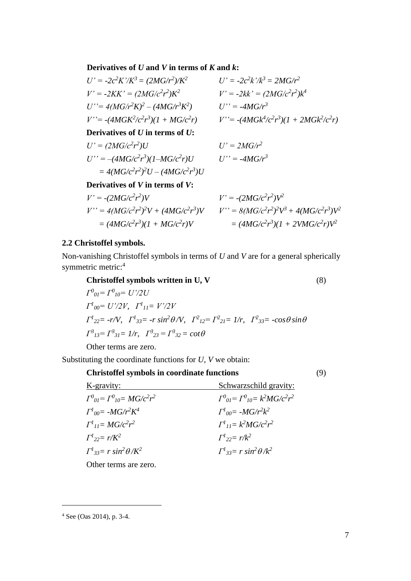**Derivatives of** *U* **and** *V* **in terms of** *K* **and** *k***:** 

| $U' = -2c^2K'/K^3 = (2MG/r^2)/K^2$      | $U' = -2c^2k' / k^3 = 2MG/r^2$              |
|-----------------------------------------|---------------------------------------------|
| $V' = -2KK' = (2MG/c^2r^2)K^2$          | $V' = -2kk' = (2MG/c^2r^2)k^4$              |
| $U'' = 4(MG/r^2K)^2 - (4MG/r^3K^2)$     | $U'' = -4MG/r^3$                            |
| $V' = -(4MGK^2/c^2r^3)(1 + MG/c^2r)$    | $V' = -(4MGk^4/c^2r^3)(1 + 2MGk^2/c^2r)$    |
| Derivatives of $U$ in terms of $U$ :    |                                             |
| $U' = (2MG/c^2r^2)U$                    | $U' = 2MG/r^2$                              |
| $U'' = -(4MG/c^2r^3)(1-MG/c^2r)U$       | $U'' = -4MG/r^3$                            |
| $=4(MG/c^2r^2)^2U-(4MG/c^2r^3)U$        |                                             |
| Derivatives of $V$ in terms of $V$ :    |                                             |
| $V' = -(2MG/c^2r^2)V$                   | $V' = -(2MG/c^2r^2)V^2$                     |
| $V'' = 4(MG/c^2r^2)^2V + (4MG/c^2r^3)V$ | $V'' = 8(MG/c^2r^2)^2V^3 + 4(MG/c^2r^3)V^2$ |
| $= (4MG/c^2r^3)(1 + MG/c^2r)V$          | $= (4MG/c^2r^3)(1 + 2VMG/c^2r)V^2$          |

#### **2.2 Christoffel symbols.**

Non-vanishing Christoffel symbols in terms of *U* and *V* are for a general spherically symmetric metric:<sup>4</sup>

**Christoffel symbols written in U, V** (8)

*Γ 0 <sup>01</sup>= Γ<sup>0</sup> <sup>10</sup>= U'/2U Γ 1 <sup>00</sup>= U'/2V, Γ 1 <sup>11</sup>= V'/2V*  $\int I^1_{22} = -r/V$ ,  $\int I^1_{33} = -r \sin^2{\theta/V}$ ,  $\int I^2_{12} = \int I^2_{21} = 1/r$ ,  $\int I^2_{33} = -\cos{\theta} \sin{\theta}$  $\Gamma^3{}_{13} = \Gamma^3{}_{31} = 1/r$ ,  $\Gamma^3{}_{23} = \Gamma^3{}_{32} = \cot \theta$ Other terms are zero.

Substituting the coordinate functions for *U, V* we obtain:

**Christoffel symbols in coordinate functions** (9) K-gravity: Schwarzschild gravity: *Γ 0 <sup>01</sup>= Γ<sup>0</sup> <sup>10</sup>= MG/c<sup>2</sup> r <sup>2</sup> Γ*  $\sigma_{01} = \Gamma^0_{10} = k^2 MG/c^2r^2$ *Γ 1 <sup>00</sup>= -MG/r<sup>2</sup>K <sup>4</sup> Γ*  $M_{00} = -MG/r^2k^2$ *Γ 1 <sup>11</sup>= MG/c<sup>2</sup> r <sup>2</sup> Γ*  $k^2 M G/c^2 r^2$ *Γ 1 <sup>22</sup>= r/K<sup>2</sup> Γ*  $r^{1}_{22} = r/k^{2}$ *Γ*<sup>1</sup><sub>33</sub>= r sin<sup>2</sup>θ/K<sup>2</sup> *Γ*  $r^1_{33} = r \sin^2\theta / k^2$ 

Other terms are zero.

<sup>4</sup> See (Oas 2014), p. 3-4.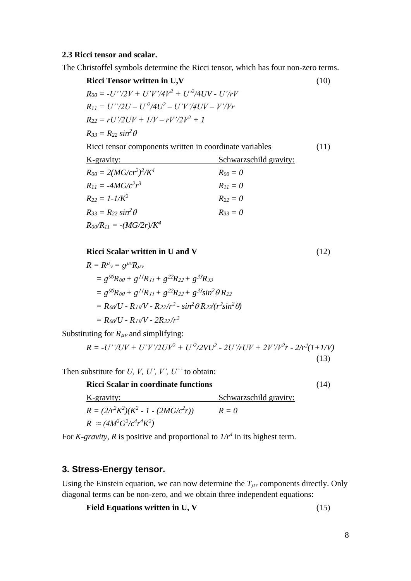#### **2.3 Ricci tensor and scalar.**

The Christoffel symbols determine the Ricci tensor, which has four non-zero terms.

**Ricci Tensor written in U,V** (10)  $R_{00} = -U''/2V + U'V'/4V^2 + U'^2/4UV - U'/rV$  $R_{II} = U''/2U - U'^2/4U^2 - U'V'/4UV - V'/Vr$  $R_{22} = rU'/2UV + 1/V - rV'/2V^2 + 1$  $R_{33} = R_{22} \sin^2 \theta$ Ricci tensor components written in coordinate variables (11) K-gravity: Schwarzschild gravity:  $R_{00} = 2(MG/cr^2)^2$  $R_{00} = 0$  $R_{II} = -4MG/c^2r$  $R_{11} = 0$  $R_{22} = 1 - 1/K^2$   $R_{22} = 0$  $R_{33} = R_{22} \sin^2 \theta$   $R_{33} = 0$ 

$$
R_{00}/R_{11}=-(MG/2r)/K^4
$$

**Ricci Scalar written in U and V** (12)

 $R = R^{\mu}{}_{\nu} = g^{\mu\nu}R_{\mu\nu}$  $= g^{00}R_{00} + g^{11}R_{11} + g^{22}R_{22} + g^{33}R_{33}$  $= g^{00}R_{00} + g^{11}R_{11} + g^{22}R_{22} + g^{33}\sin^2\theta R_{22}$  $= R_{00}/U - R_{11}/V - R_{22}/r^2 - sin^2\theta R_{22}/(r^2 sin^2\theta)$  $= R_{00}/U - R_{11}/V - 2R_{22}/r^2$ 

Substituting for  $R_{\mu\nu}$  and simplifying:

$$
R = -U^{\prime\prime}/UV + U^{\prime}V^{\prime}/2UV^{2} + U^{\prime2}/2VU^{2} - 2U^{\prime}/rUV + 2V^{\prime}/V^{2}r - 2/r^{2}(1+1/V)
$$
\n(13)

Then substitute for *U, V, U', V', U''* to obtain:

**Ricci Scalar in coordinate functions** (14) K-gravity: Schwarzschild gravity:  $R = (2/r^2K^2)(K^2 - 1 - (2MG/c^2))$  $R = 0$  $R \approx (4M^2G^2/c^4r^4K^2)$ 

For *K*-gravity, *R* is positive and proportional to  $1/r^4$  in its highest term.

### **3. Stress-Energy tensor.**

Using the Einstein equation, we can now determine the  $T_{\mu\nu}$  components directly. Only diagonal terms can be non-zero, and we obtain three independent equations:

$$
Field Equations written in U, V \tag{15}
$$

8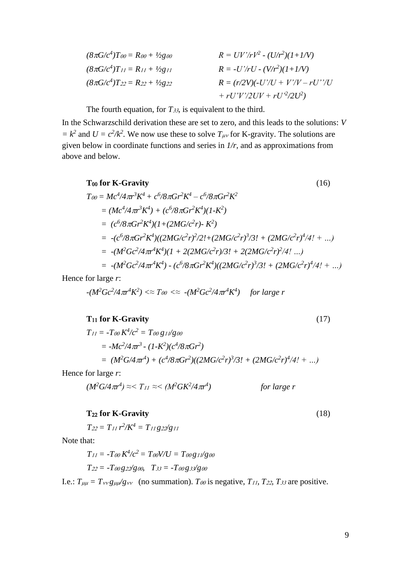| $(8\pi G/c^4)$ T <sub>00</sub> = R <sub>00</sub> + $\frac{1}{2}$ g <sub>00</sub> | $R = UV'/rV^2 - (U/r^2)(1+1/V)$    |
|----------------------------------------------------------------------------------|------------------------------------|
| $(8\pi G/c^4)T_{11} = R_{11} + \frac{1}{2}g_{11}$                                | $R = -U'/rU - (V/r^2)(1+1/V)$      |
| $(8\pi G/c^4)T_{22} = R_{22} + \frac{1}{2}g_{22}$                                | $R = (r/2V)(-U'/U + V'/V - rU''/U$ |
|                                                                                  | + $rU'V'/2UV + rU'^2/2U^2$ )       |

The fourth equation, for  $T_{33}$ , is equivalent to the third.

In the Schwarzschild derivation these are set to zero, and this leads to the solutions: *V*   $= k^2$  and  $U = c^2/k^2$ . We now use these to solve  $T_{\mu\nu}$  for K-gravity. The solutions are given below in coordinate functions and series in *1/r,* and as approximations from above and below.

To for K-Gravity (16)  
\n
$$
T_{00} = Mc^4/4\pi r^3 K^4 + c^6/8\pi G r^2 K^4 - c^6/8\pi G r^2 K^2
$$
\n
$$
= (Mc^4/4\pi r^3 K^4) + (c^6/8\pi G r^2 K^4)(1 - K^2)
$$
\n
$$
= (c^6/8\pi G r^2 K^4)(1 + (2MG/c^2 r) - K^2)
$$
\n
$$
= -(c^6/8\pi G r^2 K^4)((2MG/c^2 r)^2/2! + (2MG/c^2 r)^3/3! + (2MG/c^2 r)^4/4! + ...)
$$
\n
$$
= -(M^2 Gc^2/4\pi r^4 K^4)(1 + 2(2MG/c^2 r)/3! + 2(2MG/c^2 r)^2/4! ...)
$$
\n
$$
= -(M^2 Gc^2/4\pi r^4 K^4) - (c^6/8\pi G r^2 K^4)((2MG/c^2 r)^3/3! + (2MG/c^2 r)^4/4! + ...)
$$

Hence for large *r*:

$$
-(M^2 G c^2 / 4\pi r^4 K^2) \ll T_{00} \ll 4 (M^2 G c^2 / 4\pi r^4 K^4)
$$
 for large r

### $T_{11}$  for K-Gravity (17)

$$
T_{11} = -T_{00} K^{4}/c^{2} = T_{00} g_{11}/g_{00}
$$
  
=  $-Mc^{2}/4 \pi r^{3} - (1-K^{2})(c^{4}/8 \pi G r^{2})$   
=  $(M^{2} G/4 \pi r^{4}) + (c^{4}/8 \pi G r^{2})((2MG/c^{2}r)^{3}/3! + (2MG/c^{2}r)^{4}/4! + ...)$ 

Hence for large *r*:

$$
(M^2 G/4\pi r^4) \approx < T_{11} \approx < (M^2 G K^2 / 4\pi r^4)
$$
 for large r

## **T**<sub>22</sub> for K-Gravity (18)

 $T_{22} = T_{11} r^2 / K^4 = T_{11} g_{22} / g_{11}$ 

Note that:

$$
T_{11} = -T_{00} K^{4}/c^{2} = T_{00} V/U = T_{00} g_{11}/g_{00}
$$

$$
T_{22} = -T_{00} g_{22}/g_{00}, \quad T_{33} = -T_{00} g_{33}/g_{00}
$$

I.e.:  $T_{\mu\mu} = T_{\nu\nu} g_{\mu\nu} / g_{\nu\nu}$  (no summation). *Too* is negative, *T<sub>11</sub>*, *T*<sub>22</sub>, *T*<sub>33</sub> are positive.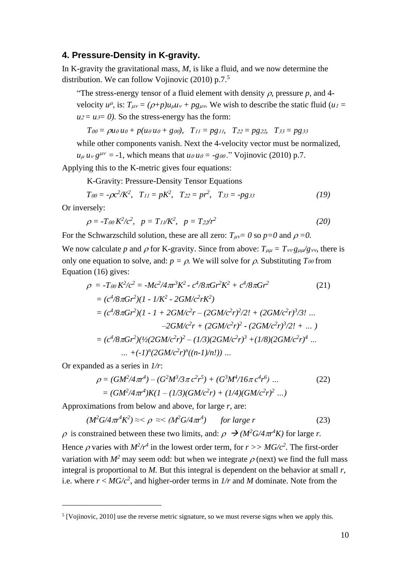#### **4. Pressure-Density in K-gravity.**

In K-gravity the gravitational mass, *M,* is like a fluid, and we now determine the distribution. We can follow Vojinovic (2010) p.7.<sup>5</sup>

"The stress-energy tensor of a fluid element with density  $\rho$ , pressure  $p$ , and 4velocity  $u^{\mu}$ , is:  $T_{\mu\nu} = (\rho + p)u_{\mu}u_{\nu} + pg_{\mu\nu}$ . We wish to describe the static fluid ( $u_1 =$  $u_2 = u_3 = 0$ ). So the stress-energy has the form:

$$
T_{00} = \rho u_0 u_0 + p(u_0 u_0 + g_{00}), \quad T_{11} = pg_{11}, \quad T_{22} = pg_{22}, \quad T_{33} = pg_{33}
$$

while other components vanish. Next the 4-velocity vector must be normalized,  $u_{\mu} u_{\nu} g^{\mu\nu} = -1$ , which means that  $u \circ u_{\nu} = -g \circ \nu$ ." Vojinovic (2010) p.7.

Applying this to the K-metric gives four equations:

K-Gravity: Pressure-Density Tensor Equations

$$
T_{00} = -\rho c^2/K^2, \quad T_{11} = pK^2, \quad T_{22} = pr^2, \quad T_{33} = -pg_{33} \tag{19}
$$

Or inversely:

$$
\rho = -T_{00} K^2/c^2, \quad p = T_{11}/K^2, \quad p = T_{22}/r^2 \tag{20}
$$

For the Schwarzschild solution, these are all zero:  $T_{\mu\nu} = 0$  so  $p = 0$  and  $\rho = 0$ .

We now calculate p and  $\rho$  for K-gravity. Since from above:  $T_{\mu\mu} = T_{\nu\nu}g_{\mu\nu}/g_{\nu\nu}$ , there is only one equation to solve, and:  $p = \rho$ . We will solve for  $\rho$ . Substituting  $T_{\theta\theta}$  from Equation (16) gives:

$$
\rho = -T_{00} K^2/c^2 = -Mc^2/4\pi r^3 K^2 - c^4/8\pi G r^2 K^2 + c^4/8\pi G r^2
$$
\n
$$
= (c^4/8\pi G r^2)(1 - 1/K^2 - 2GM/c^2 r K^2)
$$
\n
$$
= (c^4/8\pi G r^2)(1 - 1 + 2GM/c^2 r - (2GM/c^2 r)^2/2! + (2GM/c^2 r)^3/3! ...
$$
\n
$$
-2GM/c^2 r + (2GM/c^2 r)^2 - (2GM/c^2 r)^3/2! + ... )
$$
\n
$$
= (c^4/8\pi G r^2)(1/(2GM/c^2 r)^2 - (1/3)(2GM/c^2 r)^3 + (1/8)(2GM/c^2 r)^4 ...
$$
\n
$$
= (-1)^n (2GM/c^2 r)^n((n-1)/n!)) ...
$$

Or expanded as a series in *1/r*:

$$
\rho = (GM^2/4\pi r^4) - (G^2M^3/3\pi c^2r^5) + (G^3M^4/16\pi c^4r^6) \dots
$$
\n
$$
= (GM^2/4\pi r^4)K(1 - (1/3)(GM/c^2r) + (1/4)(GM/c^2r)^2 \dots)
$$
\n(22)

Approximations from below and above, for large *r,* are:

$$
(M^2 G/4\pi r^4 K^2) \approx <\rho \approx <(M^2 G/4\pi r^4) \qquad \text{for large } r \tag{23}
$$

 $\rho$  is constrained between these two limits, and:  $\rho \rightarrow (M^2 G / 4 \pi r^4 K)$  for large *r*.

Hence  $\rho$  varies with  $M^2/r^4$  in the lowest order term, for  $r >> MG/c^2$ . The first-order variation with  $M^2$  may seem odd: but when we integrate  $\rho$  (next) we find the full mass integral is proportional to *M.* But this integral is dependent on the behavior at small *r,*  i.e. where  $r < MG/c^2$ , and higher-order terms in  $1/r$  and M dominate. Note from the

<sup>&</sup>lt;sup>5</sup> [Vojinovic, 2010] use the reverse metric signature, so we must reverse signs when we apply this.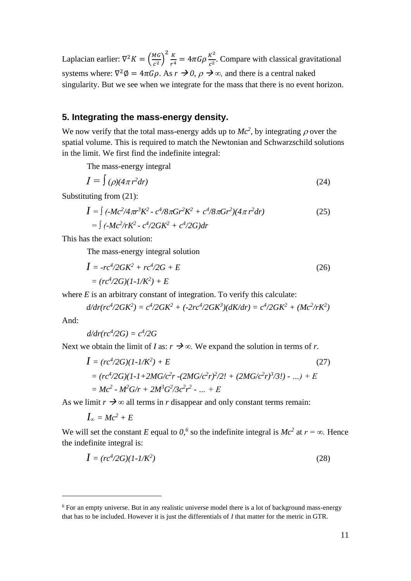Laplacian earlier:  $\nabla^2 K = \left(\frac{MG}{c^2}\right)$  $\left(\frac{MG}{c^2}\right)^2 \frac{K}{r^4}$  $\frac{K}{r^4} = 4\pi G\rho \frac{K^2}{c^2}$  $\frac{\pi}{c^2}$ . Compare with classical gravitational systems where:  $\nabla^2 \phi = 4\pi G \rho$ . As  $r \to 0$ ,  $\rho \to \infty$ , and there is a central naked singularity. But we see when we integrate for the mass that there is no event horizon.

## **5. Integrating the mass-energy density.**

We now verify that the total mass-energy adds up to  $Mc^2$ , by integrating  $\rho$  over the spatial volume. This is required to match the Newtonian and Schwarzschild solutions in the limit. We first find the indefinite integral:

The mass-energy integral

$$
I = \int (\rho)(4\pi r^2 dr) \tag{24}
$$

Substituting from (21):

$$
I = \int (-Mc^2/4\pi r^3 K^2 - c^4/8\pi G r^2 K^2 + c^4/8\pi G r^2)(4\pi r^2 dr)
$$
  
= 
$$
\int (-Mc^2/rK^2 - c^4/2GK^2 + c^4/2G)dr
$$
 (25)

This has the exact solution:

The mass-energy integral solution

$$
I = -rc^4/2GK^2 + rc^4/2G + E
$$
  
=  $(rc^4/2G)(1-1/K^2) + E$  (26)

where  $E$  is an arbitrary constant of integration. To verify this calculate:

$$
d/dr (rc^4 / 2GK^2) = c^4 / 2GK^2 + (-2rc^4 / 2GK^3)(dK/dr) = c^4 / 2GK^2 + (Mc^2 / rK^2)
$$

And:

$$
d/dr (rc^4/2G) = c^4/2G
$$

Next we obtain the limit of *I* as:  $r \rightarrow \infty$ . We expand the solution in terms of *r*.

$$
I = (rc^{4}/2G)(1-1/K^{2}) + E
$$
\n
$$
= (rc^{4}/2G)(1-1+2MG/c^{2}r - (2MG/c^{2}r)^{2}/2! + (2MG/c^{2}r)^{3}/3!) - ... ) + E
$$
\n
$$
= Mc^{2} - M^{2}G/r + 2M^{3}G^{2}/3c^{2}r^{2} - ... + E
$$
\n(27)

As we limit  $r \to \infty$  all terms in *r* disappear and only constant terms remain:

$$
I_\infty=Mc^2+E
$$

We will set the constant *E* equal to  $0$ ,<sup>6</sup> so the indefinite integral is  $Mc^2$  at  $r = \infty$ . Hence the indefinite integral is:

$$
I = (rc^4/2G)(1 - l/K^2)
$$
 (28)

<sup>6</sup> For an empty universe. But in any realistic universe model there is a lot of background mass-energy that has to be included. However it is just the differentials of *I* that matter for the metric in GTR.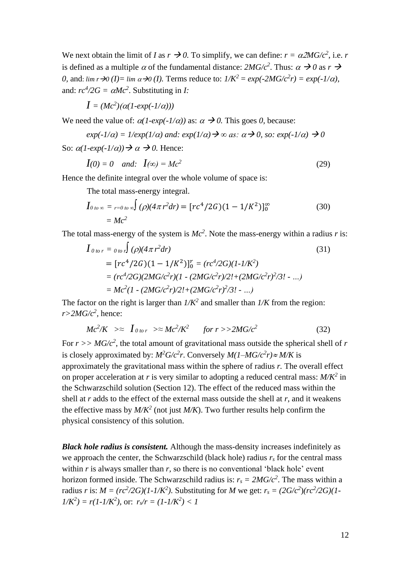We next obtain the limit of *I* as  $r \rightarrow 0$ . To simplify, we can define:  $r = \alpha 2MG/c^2$ , i.e. *r* is defined as a multiple  $\alpha$  of the fundamental distance:  $2MG/c^2$ . Thus:  $\alpha \rightarrow 0$  as  $r \rightarrow$ *0,* and:  $\lim_{x \to 0} \frac{d}{dx} \to 0$  (*I*). Terms reduce to:  $1/K^2 = \exp(-2MG/c^2r) = \exp(-1/\alpha)$ , and:  $rc^4/2G = \alpha Mc^2$ . Substituting in *I*:

$$
I=(Mc^2)(\alpha(1\text{-}exp(\text{-}1/\alpha)))
$$

We need the value of:  $\alpha(1-\exp(-1/\alpha))$  as:  $\alpha \to 0$ . This goes 0, because:

$$
exp(-1/\alpha) = 1/exp(1/\alpha)
$$
 and:  $exp(1/\alpha) \rightarrow \infty$  as:  $\alpha \rightarrow 0$ , so:  $exp(-1/\alpha) \rightarrow 0$ 

So:  $\alpha(1-\exp(-1/\alpha)) \rightarrow \alpha \rightarrow 0$ . Hence:

$$
I(0) = 0 \quad and: \quad I(\infty) = Mc^2 \tag{29}
$$

Hence the definite integral over the whole volume of space is:

The total mass-energy integral.

$$
I_{0\ to\ \infty} = {}_{r=0\ to\ \infty}} \int (\rho)(4\pi r^2 dr) = [r c^4 / 2G)(1 - 1/K^2)]_0^{\infty}
$$
\n
$$
= Mc^2 \tag{30}
$$

The total mass-energy of the system is *Mc 2* . Note the mass-energy within a radius *r* is:

$$
I_{0\text{ to }r} = {}_{0\text{ to }r}J(\rho)(4\pi r^2 dr)
$$
\n
$$
= [rc^4/2G)(1 - 1/K^2)]_0^r = (rc^4/2G)(1 - 1/K^2)
$$
\n
$$
= (rc^4/2G)(2MG/c^2r)(1 - (2MG/c^2r)/2! + (2MG/c^2r)^2/3! - ...)
$$
\n
$$
= Mc^2(1 - (2MG/c^2r)/2! + (2MG/c^2r)^2/3! - ...)
$$
\n(31)

The factor on the right is larger than  $1/K^2$  and smaller than  $1/K$  from the region:  $r > 2MG/c^2$ , hence:

$$
Mc^2/K \ \gg \ I_{0\text{ to }r} \ \gg \ Mc^2/K^2 \qquad \text{for } r >> 2MG/c^2 \tag{32}
$$

For  $r >> MG/c<sup>2</sup>$ , the total amount of gravitational mass outside the spherical shell of  $r$ is closely approximated by:  $M^2G/c^2r$ . Conversely  $M(1-MG/c^2r) \approx M/K$  is approximately the gravitational mass within the sphere of radius *r.* The overall effect on proper acceleration at *r* is very similar to adopting a reduced central mass: *M/K<sup>2</sup>* in the Schwarzschild solution (Section 12). The effect of the reduced mass within the shell at *r* adds to the effect of the external mass outside the shell at *r*, and it weakens the effective mass by  $M/K^2$  (not just  $M/K$ ). Two further results help confirm the physical consistency of this solution.

*Black hole radius is consistent.* Although the mass-density increases indefinitely as we approach the center, the Schwarzschild (black hole) radius  $r<sub>s</sub>$  for the central mass within *r* is always smaller than *r*, so there is no conventional 'black hole' event horizon formed inside. The Schwarzschild radius is:  $r_s = 2MG/c^2$ . The mass within a radius *r* is:  $M = (rc^2/2G)(1 - 1/K^2)$ . Substituting for *M* we get:  $r_s = (2G/c^2)(rc^2/2G)(1 - 1/K^2)$ .  $1/K^2$ ) =  $r(1-1/K^2)$ , or:  $r_s/r = (1-1/K^2) < 1$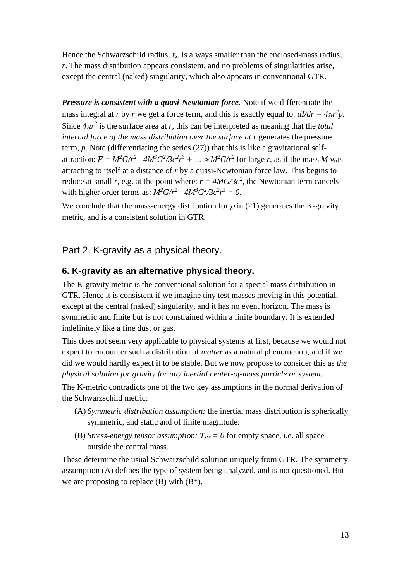Hence the Schwarzschild radius,  $r_s$ , is always smaller than the enclosed-mass radius, *r*. The mass distribution appears consistent, and no problems of singularities arise, except the central (naked) singularity, which also appears in conventional GTR.

*Pressure is consistent with a quasi-Newtonian force.* Note if we differentiate the mass integral at *r* by *r* we get a force term, and this is exactly equal to:  $dI/dr = 4\pi r^2 p$ . Since  $4\pi r^2$  is the surface area at *r*, this can be interpreted as meaning that the *total internal force of the mass distribution over the surface at r generates the pressure* term, *p*. Note (differentiating the series (27)) that this is like a gravitational selfattraction:  $F = M^2 G/r^2 - 4M^3 G^2/3c^2r^3 + ... \approx M^2 G/r^2$  for large r, as if the mass M was attracting to itself at a distance of *r* by a quasi-Newtonian force law. This begins to reduce at small *r*, e.g. at the point where:  $r = 4MG/3c^2$ , the Newtonian term cancels with higher order terms as:  $M^2G/r^2$  -  $4M^3G^2/3c^2r^3 = 0$ .

We conclude that the mass-energy distribution for  $\rho$  in (21) generates the K-gravity metric, and is a consistent solution in GTR.

# Part 2. K-gravity as a physical theory.

# **6. K-gravity as an alternative physical theory.**

The K-gravity metric is the conventional solution for a special mass distribution in GTR. Hence it is consistent if we imagine tiny test masses moving in this potential, except at the central (naked) singularity, and it has no event horizon. The mass is symmetric and finite but is not constrained within a finite boundary. It is extended indefinitely like a fine dust or gas.

This does not seem very applicable to physical systems at first, because we would not expect to encounter such a distribution of *matter* as a natural phenomenon, and if we did we would hardly expect it to be stable. But we now propose to consider this as *the physical solution for gravity for any inertial center-of-mass particle or system.*

The K-metric contradicts one of the two key assumptions in the normal derivation of the Schwarzschild metric:

- (A) *Symmetric distribution assumption:* the inertial mass distribution is spherically symmetric, and static and of finite magnitude.
- (B) *Stress-energy tensor assumption:*  $T_{\mu\nu} = 0$  for empty space, i.e. all space outside the central mass.

These determine the usual Schwarzschild solution uniquely from GTR. The symmetry assumption (A) defines the type of system being analyzed, and is not questioned. But we are proposing to replace  $(B)$  with  $(B^*)$ .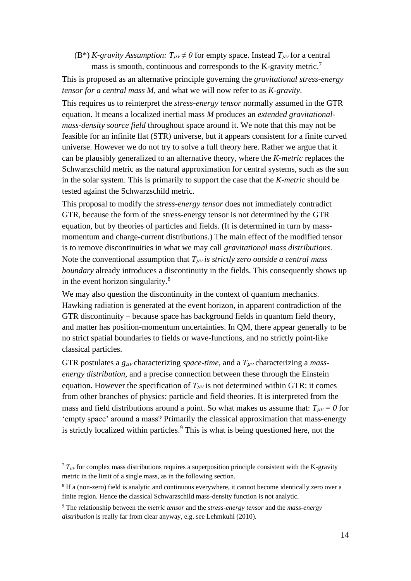(B<sup>\*</sup>) *K*-gravity Assumption:  $T_{\mu\nu} \neq 0$  for empty space. Instead  $T_{\mu\nu}$  for a central mass is smooth, continuous and corresponds to the K-gravity metric.<sup>7</sup>

This is proposed as an alternative principle governing the *gravitational stress-energy tensor for a central mass M*, and what we will now refer to as *K-gravity*.

This requires us to reinterpret the *stress-energy tensor* normally assumed in the GTR equation. It means a localized inertial mass *M* produces an *extended gravitationalmass-density source field* throughout space around it. We note that this may not be feasible for an infinite flat (STR) universe, but it appears consistent for a finite curved universe. However we do not try to solve a full theory here. Rather we argue that it can be plausibly generalized to an alternative theory, where the *K-metric* replaces the Schwarzschild metric as the natural approximation for central systems, such as the sun in the solar system. This is primarily to support the case that the *K-metric* should be tested against the Schwarzschild metric.

This proposal to modify the *stress-energy tensor* does not immediately contradict GTR, because the form of the stress-energy tensor is not determined by the GTR equation, but by theories of particles and fields. (It is determined in turn by massmomentum and charge-current distributions.) The main effect of the modified tensor is to remove discontinuities in what we may call *gravitational mass distributions*. Note the conventional assumption that  $T_{\mu\nu}$  is strictly zero outside a central mass *boundary* already introduces a discontinuity in the fields. This consequently shows up in the event horizon singularity.<sup>8</sup>

We may also question the discontinuity in the context of quantum mechanics. Hawking radiation is generated at the event horizon, in apparent contradiction of the GTR discontinuity – because space has background fields in quantum field theory, and matter has position-momentum uncertainties. In QM, there appear generally to be no strict spatial boundaries to fields or wave-functions, and no strictly point-like classical particles.

GTR postulates a  $g_{\mu\nu}$  characterizing *space-time*, and a  $T_{\mu\nu}$  characterizing a *massenergy distribution,* and a precise connection between these through the Einstein equation. However the specification of  $T_{\mu\nu}$  is not determined within GTR: it comes from other branches of physics: particle and field theories. It is interpreted from the mass and field distributions around a point. So what makes us assume that:  $T_{\mu\nu} = 0$  for 'empty space' around a mass? Primarily the classical approximation that mass-energy is strictly localized within particles.<sup>9</sup> This is what is being questioned here, not the

 $7 T_{\mu\nu}$  for complex mass distributions requires a superposition principle consistent with the K-gravity metric in the limit of a single mass, as in the following section.

<sup>&</sup>lt;sup>8</sup> If a (non-zero) field is analytic and continuous everywhere, it cannot become identically zero over a finite region. Hence the classical Schwarzschild mass-density function is not analytic.

<sup>9</sup> The relationship between the *metric tensor* and the *stress-energy tensor* and the *mass-energy distribution* is really far from clear anyway, e.g. see Lehmkuhl (2010).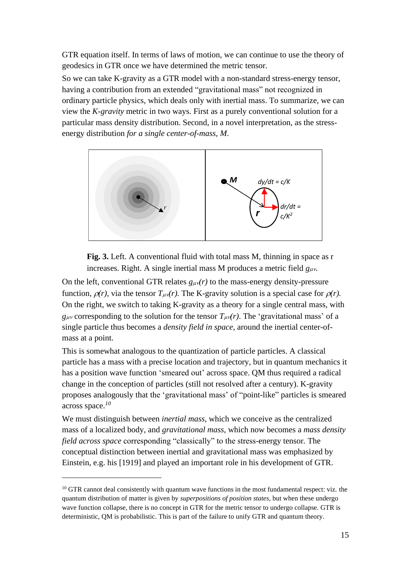GTR equation itself. In terms of laws of motion, we can continue to use the theory of geodesics in GTR once we have determined the metric tensor.

So we can take K-gravity as a GTR model with a non-standard stress-energy tensor, having a contribution from an extended "gravitational mass" not recognized in ordinary particle physics, which deals only with inertial mass. To summarize, we can view the *K-gravity* metric in two ways. First as a purely conventional solution for a particular mass density distribution. Second, in a novel interpretation, as the stressenergy distribution *for a single center-of-mass, M*.





On the left, conventional GTR relates  $g_{\mu\nu}(r)$  to the mass-energy density-pressure function,  $\rho(r)$ , via the tensor  $T_{\mu\nu}(r)$ . The K-gravity solution is a special case for  $\rho(r)$ . On the right, we switch to taking K-gravity as a theory for a single central mass, with  $g_{\mu\nu}$  corresponding to the solution for the tensor  $T_{\mu\nu}(r)$ . The 'gravitational mass' of a single particle thus becomes a *density field in space,* around the inertial center-ofmass at a point.

This is somewhat analogous to the quantization of particle particles. A classical particle has a mass with a precise location and trajectory, but in quantum mechanics it has a position wave function 'smeared out' across space. QM thus required a radical change in the conception of particles (still not resolved after a century). K-gravity proposes analogously that the 'gravitational mass' of "point-like" particles is smeared across space. *10*

We must distinguish between *inertial mass,* which we conceive as the centralized mass of a localized body, and *gravitational mass,* which now becomes a *mass density field across space* corresponding "classically" to the stress-energy tensor*.* The conceptual distinction between inertial and gravitational mass was emphasized by Einstein, e.g. his [1919] and played an important role in his development of GTR.

 $10$  GTR cannot deal consistently with quantum wave functions in the most fundamental respect: viz. the quantum distribution of matter is given by *superpositions of position states,* but when these undergo wave function collapse, there is no concept in GTR for the metric tensor to undergo collapse. GTR is deterministic, QM is probabilistic. This is part of the failure to unify GTR and quantum theory.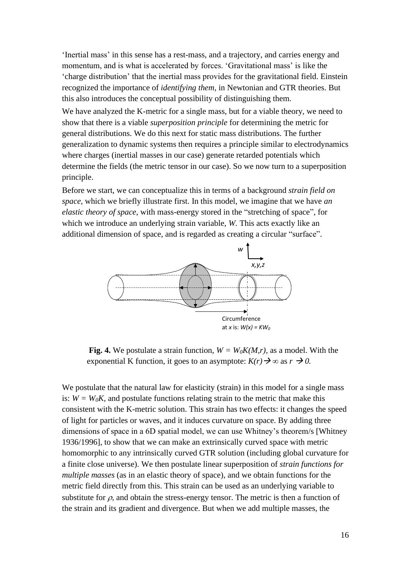'Inertial mass' in this sense has a rest-mass, and a trajectory, and carries energy and momentum, and is what is accelerated by forces. 'Gravitational mass' is like the 'charge distribution' that the inertial mass provides for the gravitational field. Einstein recognized the importance of *identifying them,* in Newtonian and GTR theories. But this also introduces the conceptual possibility of distinguishing them.

We have analyzed the K-metric for a single mass, but for a viable theory, we need to show that there is a viable *superposition principle* for determining the metric for general distributions. We do this next for static mass distributions. The further generalization to dynamic systems then requires a principle similar to electrodynamics where charges (inertial masses in our case) generate retarded potentials which determine the fields (the metric tensor in our case). So we now turn to a superposition principle.

Before we start, we can conceptualize this in terms of a background *strain field on space,* which we briefly illustrate first. In this model, we imagine that we have *an elastic theory of space*, with mass-energy stored in the "stretching of space", for which we introduce an underlying strain variable, *W*. This acts exactly like an additional dimension of space, and is regarded as creating a circular "surface".



**Fig. 4.** We postulate a strain function,  $W = W_0K(M,r)$ , as a model. With the exponential K function, it goes to an asymptote:  $K(r) \rightarrow \infty$  as  $r \rightarrow 0$ .

We postulate that the natural law for elasticity (strain) in this model for a single mass is:  $W = W_0 K$ , and postulate functions relating strain to the metric that make this consistent with the K-metric solution. This strain has two effects: it changes the speed of light for particles or waves, and it induces curvature on space. By adding three dimensions of space in a 6D spatial model, we can use Whitney's theorem/s [Whitney 1936/1996], to show that we can make an extrinsically curved space with metric homomorphic to any intrinsically curved GTR solution (including global curvature for a finite close universe). We then postulate linear superposition of *strain functions for multiple masses* (as in an elastic theory of space), and we obtain functions for the metric field directly from this. This strain can be used as an underlying variable to substitute for  $\rho$ , and obtain the stress-energy tensor. The metric is then a function of the strain and its gradient and divergence. But when we add multiple masses, the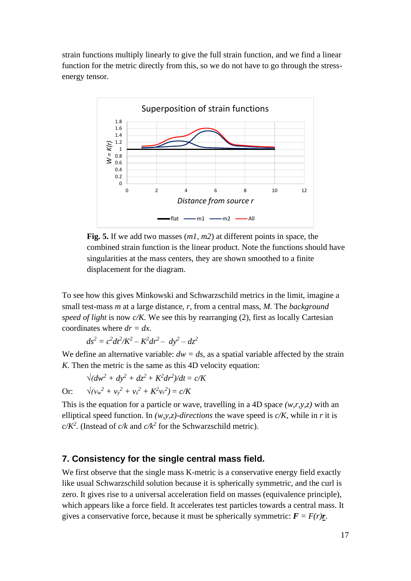strain functions multiply linearly to give the full strain function, and we find a linear function for the metric directly from this, so we do not have to go through the stressenergy tensor.



**Fig. 5.** If we add two masses (*m1, m2*) at different points in space, the combined strain function is the linear product. Note the functions should have singularities at the mass centers, they are shown smoothed to a finite displacement for the diagram.

To see how this gives Minkowski and Schwarzschild metrics in the limit, imagine a small test-mass *m* at a large distance, *r,* from a central mass, *M.* The *background speed of light* is now *c/K.* We see this by rearranging (2), first as locally Cartesian coordinates where  $dr = dx$ .

$$
ds^2 = c^2 dt^2/K^2 - K^2 dr^2 - dy^2 - dz^2
$$

We define an alternative variable:  $dw = ds$ , as a spatial variable affected by the strain *K*. Then the metric is the same as this 4D velocity equation:

$$
\sqrt{(dw^2 + dy^2 + dz^2 + K^2 dr^2)} / dt = c/K
$$
  
Or: 
$$
\sqrt{(v_w^2 + v_y^2 + v_z^2 + K^2 v_r^2)} = c/K
$$

This is the equation for a particle or wave, travelling in a 4D space *(w,r,y,z)* with an elliptical speed function. In *(w,y,z)-directions* the wave speed is *c/K,* while in *r* it is  $c/K^2$ . (Instead of  $c/k$  and  $c/k^2$  for the Schwarzschild metric).

## **7. Consistency for the single central mass field.**

We first observe that the single mass K-metric is a conservative energy field exactly like usual Schwarzschild solution because it is spherically symmetric, and the curl is zero. It gives rise to a universal acceleration field on masses (equivalence principle), which appears like a force field. It accelerates test particles towards a central mass. It gives a conservative force, because it must be spherically symmetric:  $\mathbf{F} = F(r)\mathbf{r}$ .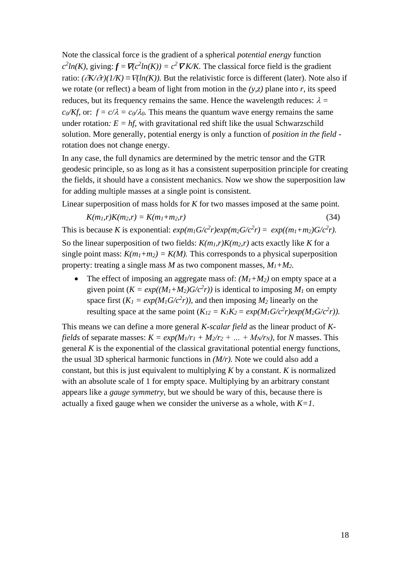Note the classical force is the gradient of a spherical *potential energy* function  $c^2 ln(K)$ , giving:  $f = \nabla(c^2 ln(K)) = c^2 \nabla K/K$ . The classical force field is the gradient ratio:  $(\partial K/\partial r)(1/K) \equiv \nabla (ln(K))$ . But the relativistic force is different (later). Note also if we rotate (or reflect) a beam of light from motion in the *(y,z)* plane into *r,* its speed reduces, but its frequency remains the same. Hence the wavelength reduces:  $\lambda =$  $c_0$ */Kf,* or:  $f = c/\lambda = c_0/\lambda_0$ . This means the quantum wave energy remains the same under rotation:  $E = hf$ , with gravitational red shift like the usual Schwarzschild solution. More generally, potential energy is only a function of *position in the field*  rotation does not change energy.

In any case, the full dynamics are determined by the metric tensor and the GTR geodesic principle, so as long as it has a consistent superposition principle for creating the fields, it should have a consistent mechanics. Now we show the superposition law for adding multiple masses at a single point is consistent.

Linear superposition of mass holds for *K* for two masses imposed at the same point.

 $K(m_1, r)K(m_2, r) = K(m_1 + m_2, r)$  (34)

This is because *K* is exponential:  $exp(m_1G/c^2r)exp(m_2G/c^2r) = exp((m_1+m_2)G/c^2r)$ . So the linear superposition of two fields:  $K(m_l,r)K(m_2,r)$  acts exactly like K for a single point mass:  $K(m_1 + m_2) = K(M)$ . This corresponds to a physical superposition property: treating a single mass *M* as two component masses,  $M_1 + M_2$ .

The effect of imposing an aggregate mass of:  $(M_1 + M_2)$  on empty space at a given point  $(K = exp((M_1 + M_2)G/c^2 r))$  is identical to imposing  $M_1$  on empty space first  $(K_I = exp(M_I G/c^2 r))$ , and then imposing  $M_2$  linearly on the resulting space at the same point  $(K_{12} = K_1K_2 = exp(M_1G/c^2r)exp(M_2G/c^2r)$ .

This means we can define a more general *K-scalar field* as the linear product of *Kfields* of separate masses:  $K = exp(M_1/r_1 + M_2/r_2 + ... + M_N/r_N)$ , for *N* masses. This general *K* is the exponential of the classical gravitational potential energy functions, the usual 3D spherical harmonic functions in *(M/r).* Note we could also add a constant, but this is just equivalent to multiplying *K* by a constant. *K* is normalized with an absolute scale of 1 for empty space. Multiplying by an arbitrary constant appears like a *gauge symmetry,* but we should be wary of this, because there is actually a fixed gauge when we consider the universe as a whole, with *K=1*.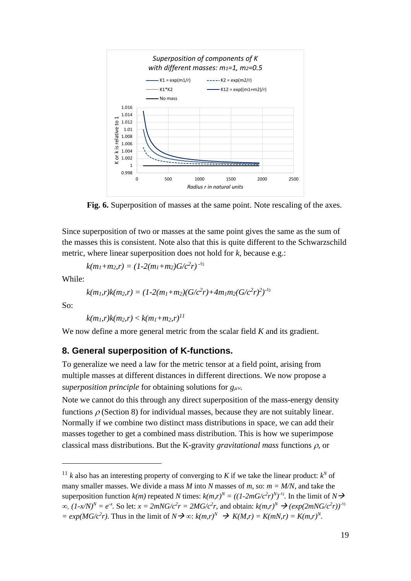

**Fig. 6.** Superposition of masses at the same point. Note rescaling of the axes.

Since superposition of two or masses at the same point gives the same as the sum of the masses this is consistent. Note also that this is quite different to the Schwarzschild metric, where linear superposition does not hold for *k,* because e.g.:

 $k(m_1+m_2,r) = (1-2(m_1+m_2)G/c^2r)^{-1/2}$ 

While:

$$
k(m_1,r)k(m_2,r)=(1-2(m_1+m_2)(G/c^2r)+4m_1m_2(G/c^2r)^2)^{-1/2}
$$

So:

 $k(m_1, r)k(m_2, r) < k(m_1 + m_2, r)^{11}$ 

We now define a more general metric from the scalar field *K* and its gradient.

#### **8. General superposition of K-functions.**

To generalize we need a law for the metric tensor at a field point, arising from multiple masses at different distances in different directions. We now propose a *superposition principle* for obtaining solutions for  $g_{\mu\nu}$ .

Note we cannot do this through any direct superposition of the mass-energy density functions  $\rho$  (Section 8) for individual masses, because they are not suitably linear. Normally if we combine two distinct mass distributions in space, we can add their masses together to get a combined mass distribution. This is how we superimpose classical mass distributions. But the K-gravity *gravitational mass* functions  $\rho$ , or

<sup>&</sup>lt;sup>11</sup> *k* also has an interesting property of converging to *K* if we take the linear product:  $k^N$  of many smaller masses. We divide a mass *M* into *N* masses of *m*, so:  $m = M/N$ , and take the superposition function  $k(m)$  repeated *N* times:  $k(m,r)^N = ((1-2mG/c^2r)^{N})^{-1/2}$ . In the limit of  $N \rightarrow$  $\infty$ ,  $(1-x/N)^N = e^{-x}$ . So let:  $x = 2mNG/c^2r = 2MG/c^2r$ , and obtain:  $k(m,r)^N$  →  $(exp(2mNG/c^2r))^{-1/2}$  $= exp(MG/c<sup>2</sup>r)$ . Thus in the limit of  $N \rightarrow \infty$ :  $k(m,r)^{N} \rightarrow K(M,r) = K(mN,r) = K(m,r)^{N}$ .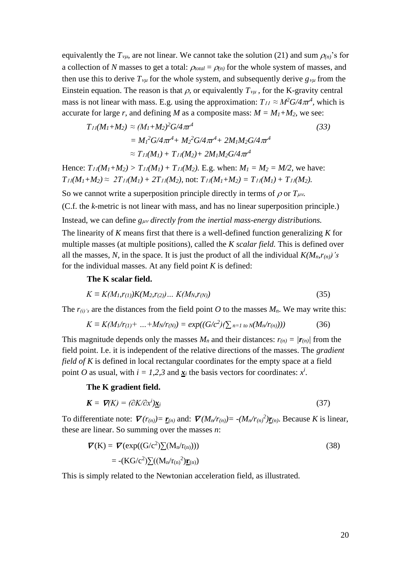equivalently the  $T_{\nu\mu}$ , are not linear. We cannot take the solution (21) and sum  $\rho_{(n)}$ 's for a collection of *N* masses to get a total:  $\rho_{total} = \rho_{(n)}$  for the whole system of masses, and then use this to derive  $T_{\nu\mu}$  for the whole system, and subsequently derive  $g_{\nu\mu}$  from the Einstein equation. The reason is that  $\rho$ , or equivalently  $T_{\nu\mu}$ , for the K-gravity central mass is not linear with mass. E.g. using the approximation:  $T_{II} \approx M^2 G / 4 \pi r^4$ , which is accurate for large *r*, and defining *M* as a composite mass:  $M = M_1 + M_2$ , we see:

$$
T_{11}(M_1 + M_2) \approx (M_1 + M_2)^2 G/4 \pi r^4
$$
\n
$$
= M_1^2 G/4 \pi r^4 + M_2^2 G/4 \pi r^4 + 2M_1 M_2 G/4 \pi r^4
$$
\n
$$
\approx T_{11}(M_1) + T_{11}(M_2) + 2M_1 M_2 G/4 \pi r^4
$$
\n(33)

Hence:  $T_{11}(M_1 + M_2) > T_{11}(M_1) + T_{11}(M_2)$ . E.g. when:  $M_1 = M_2 = M/2$ , we have:  $T_{11}(M_1 + M_2) \approx 2T_{11}(M_1) + 2T_{11}(M_2)$ , not:  $T_{11}(M_1 + M_2) = T_{11}(M_1) + T_{11}(M_2)$ .

So we cannot write a superposition principle directly in terms of  $\rho$  or  $T_{\mu\nu}$ .

(C.f. the *k-*metric is not linear with mass, and has no linear superposition principle.)

Instead, we can define  $g_{\mu\nu}$  *directly from the inertial mass-energy distributions.* 

The linearity of *K* means first that there is a well-defined function generalizing *K* for multiple masses (at multiple positions), called the *K scalar field.* This is defined over all the masses, N, in the space. It is just the product of all the individual  $K(M_n,r_{(n)})$ 's for the individual masses. At any field point *K* is defined:

#### **The K scalar field.**

$$
K \equiv K(M_1, r_{(1)})K(M_2, r_{(2)})\dots K(M_N, r_{(N)})\tag{35}
$$

The  $r_{(i)}$ 's are the distances from the field point *O* to the masses  $M_n$ . We may write this:

$$
K \equiv K(M_1/r_{(1)} + ... + M_N/r_{(N)}) = exp((G/c^2)(\sum_{n=1}^{N} \log(M_n/r_{(n)})))
$$
 (36)

This magnitude depends only the masses  $M_n$  and their distances:  $r(n) = |r(n)|$  from the field point. I.e. it is independent of the relative directions of the masses. The *gradient field of K* is defined in local rectangular coordinates for the empty space at a field point *O* as usual, with  $i = 1,2,3$  and  $\mathbf{x}_i$  the basis vectors for coordinates:  $x^i$ .

#### **The K gradient field.**

$$
\mathbf{K} = \nabla(K) = (\partial K/\partial x^i)\underline{\mathbf{x}}_i \tag{37}
$$

To differentiate note:  $\mathbf{\nabla}(r_{(n)}) = \mathbf{r}_{(n)}$  and:  $\mathbf{\nabla}(M_n/r_{(n)}) = -(M_n/r_{(n)})\mathbf{r}_{(n)}$ . Because *K* is linear, these are linear. So summing over the masses *n*:

$$
\mathbf{\nabla}(\mathbf{K}) = \mathbf{\nabla}(\exp((\mathbf{G}/c^2)\sum(\mathbf{M}_n/\mathbf{r}_{(n)})))
$$
\n
$$
= -(\mathbf{K}\mathbf{G}/c^2)\sum((\mathbf{M}_n/\mathbf{r}_{(n)})^2)\mathbf{\underline{r}}_{(n)})
$$
\n(38)

This is simply related to the Newtonian acceleration field, as illustrated.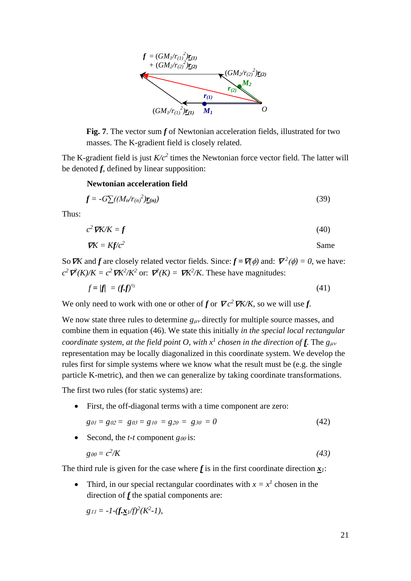

**Fig. 7**. The vector sum *f* of Newtonian acceleration fields, illustrated for two masses. The K-gradient field is closely related.

The K-gradient field is just  $K/c^2$  times the Newtonian force vector field. The latter will be denoted *f*, defined by linear supposition:

#### **Newtonian acceleration field**

$$
f = -G\left[\frac{M_n}{r_{(n)}}^2 \underline{r_{(n)}}\right]
$$
 (39)

Thus:

$$
c^2 \nabla K/K = f \tag{40}
$$

$$
\nabla K = K f/c^2
$$
 Same

So *VK* and *f* are closely related vector fields. Since:  $f = \nabla(\phi)$  and:  $\nabla^2(\phi) = 0$ , we have:  $c^2$   $\mathcal{V}^2(K)/K = c^2 \mathcal{V}K^2/K^2$  or:  $\mathcal{V}^2(K) = \mathcal{V}K^2/K$ . These have magnitudes:

$$
f = |f| = (f.f)^{1/2} \tag{41}
$$

We only need to work with one or other of *f* or  $\nabla c^2 \nabla K/K$ , so we will use *f*.

We now state three rules to determine  $g_{\mu\nu}$  directly for multiple source masses, and combine them in equation (46). We state this initially *in the special local rectangular coordinate system, at the field point O, with*  $x^I$  *chosen in the direction of f. The*  $g_{\mu\nu}$ representation may be locally diagonalized in this coordinate system. We develop the rules first for simple systems where we know what the result must be (e.g. the single particle K-metric), and then we can generalize by taking coordinate transformations.

The first two rules (for static systems) are:

• First, the off-diagonal terms with a time component are zero:

$$
g_{01} = g_{02} = g_{03} = g_{10} = g_{20} = g_{30} = 0 \tag{42}
$$

• Second, the *t*-*t* component  $g\omega$  is:

$$
g_{00} = c^2/K \tag{43}
$$

The third rule is given for the case where  $f$  is in the first coordinate direction  $\mathbf{x}_i$ :

• Third, in our special rectangular coordinates with  $x = x^1$  chosen in the direction of *f* the spatial components are:

$$
g_{11} = -1 - (f \cdot \underline{x}_1/f)^2 (K^2 - 1),
$$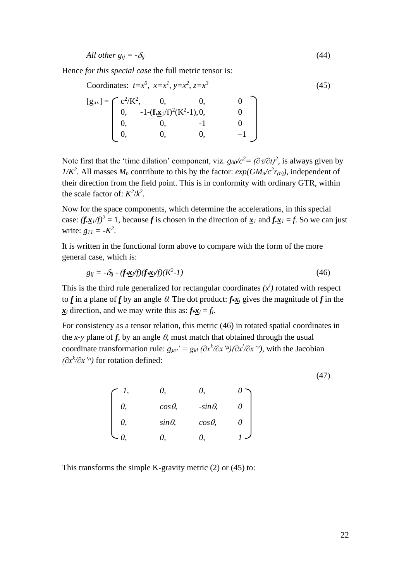$$
All\ other\ g_{ij} = -\delta_{ij} \tag{44}
$$

Hence *for this special case* the full metric tensor is:

Coordinates: 
$$
t=x^0
$$
,  $x=x^1$ ,  $y=x^2$ ,  $z=x^3$   
\n[ $g_{\mu\nu}$ ] =  $\begin{bmatrix} c^2/K^2, & 0, & 0, & 0 \\ 0, & -1-(\mathbf{f}.\mathbf{x}_1/f)^2(K^2-1), 0, & 0 \\ 0, & 0, & -1 & 0 \\ 0, & 0, & 0, & -1 \end{bmatrix}$  (45)

Note first that the 'time dilation' component, viz.  $g_{00}/c^2 = (\partial \tau / \partial t)^2$ , is always given by *1/K*<sup>2</sup>. All masses  $M_n$  contribute to this by the factor:  $exp(GM_n/c^2r_{(n)})$ , independent of their direction from the field point. This is in conformity with ordinary GTR, within the scale factor of:  $K^2/k^2$ .

Now for the space components, which determine the accelerations, in this special case:  $(f \cdot \frac{x}{4})$  /f)<sup>2</sup> = 1, because *f* is chosen in the direction of  $\frac{x}{4}$  and  $f \cdot \frac{x}{4} = f$ . So we can just write:  $g_{11} = -K^2$ .

It is written in the functional form above to compare with the form of the more general case, which is:

$$
g_{ij} = -\delta_{ij} - (f \cdot \underline{\mathbf{x}}_i / f)(f \cdot \underline{\mathbf{x}}_i / f)(K^2 - 1) \tag{46}
$$

This is the third rule generalized for rectangular coordinates  $(x^i)$  rotated with respect to *f* in a plane of *f* by an angle  $\theta$ . The dot product:  $f \cdot x_i$  gives the magnitude of *f* in the  $x_i$  direction, and we may write this as:  $f \cdot x_i = f_i$ .

For consistency as a tensor relation, this metric (46) in rotated spatial coordinates in the *x*-y plane of *f*, by an angle  $\theta$ , must match that obtained through the usual coordinate transformation rule:  $g_{\mu\nu}$ ' =  $g_{kl}$   $(\partial x^k/\partial x^{\prime\mu})(\partial x^l/\partial x^{\prime\nu})$ , with the Jacobian *(∂x<sup>k</sup> /∂x' )* for rotation defined:

(47)

| $cos\theta$    | $-sin\theta$ |          |
|----------------|--------------|----------|
| $sin \theta$ , | $cos\theta$  | $\theta$ |
|                |              |          |

This transforms the simple K-gravity metric (2) or (45) to: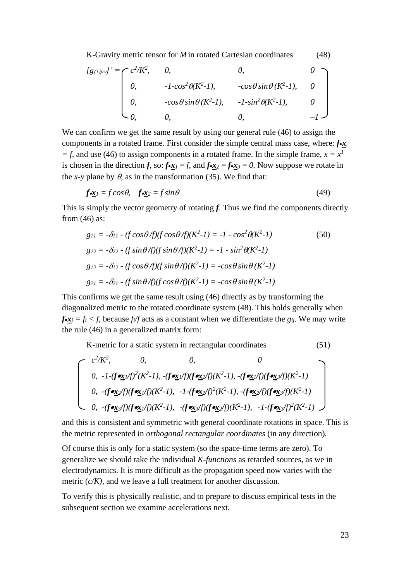K-Gravity metric tensor for *M* in rotated Cartesian coordinates (48)

$$
[g(t)\mu v]' = \begin{bmatrix} c^2/K^2, & 0, & 0, & 0\\ 0, & -1\cos^2\theta(K^2-1), & -\cos\theta\sin\theta(K^2-1), & 0\\ 0, & -\cos\theta\sin\theta(K^2-1), & -1\sin^2\theta(K^2-1), & 0\\ 0, & 0, & 0, & -1 \end{bmatrix}
$$

We can confirm we get the same result by using our general rule (46) to assign the components in a rotated frame. First consider the simple central mass case, where: *f*•*x<sup>i</sup> = f,* and use (46) to assign components in a rotated frame. In the simple frame,  $x = x<sup>1</sup>$ is chosen in the direction *f*, so:  $f \cdot x_1 = f$ , and  $f \cdot x_2 = f \cdot x_3 = 0$ . Now suppose we rotate in the *x*-*y* plane by  $\theta$ , as in the transformation (35). We find that:

$$
f\underline{\mathbf{x}}_1 = f\cos\theta, \quad f\underline{\mathbf{x}}_2 = f\sin\theta \tag{49}
$$

This is simply the vector geometry of rotating *f*. Thus we find the components directly from (46) as:

$$
g_{11} = -\delta_{11} - (f \cos \theta/f)(f \cos \theta/f)(K^2 - 1) = -1 - \cos^2 \theta(K^2 - 1)
$$
(50)  
\n
$$
g_{22} = -\delta_{22} - (f \sin \theta/f)(f \sin \theta/f)(K^2 - 1) = -1 - \sin^2 \theta(K^2 - 1)
$$
  
\n
$$
g_{12} = -\delta_{12} - (f \cos \theta/f)(f \sin \theta/f)(K^2 - 1) = -\cos \theta \sin \theta (K^2 - 1)
$$
  
\n
$$
g_{21} = -\delta_{21} - (f \sin \theta/f)(f \cos \theta/f)(K^2 - 1) = -\cos \theta \sin \theta (K^2 - 1)
$$

This confirms we get the same result using (46) directly as by transforming the diagonalized metric to the rotated coordinate system (48). This holds generally when  $f \cdot \mathbf{x}_i = f_i \cdot f$ , because  $f_i/f$  acts as a constant when we differentiate the  $g_{ij}$ . We may write the rule (46) in a generalized matrix form:

K-metric for a static system in rectangular coordinates (51)

$$
\begin{bmatrix}\nc^2/K^2, & 0, & 0, & 0 \\
0, & -1 - (f \cdot \underline{\mathbf{x}}_1/f)^2(K^2 - 1), & -(f \cdot \underline{\mathbf{x}}_1/f)(f \cdot \underline{\mathbf{x}}_2/f)(K^2 - 1), & -(f \cdot \underline{\mathbf{x}}_1/f)(f \cdot \underline{\mathbf{x}}_2/f)(K^2 - 1) \\
0, & -(f \cdot \underline{\mathbf{x}}_2/f)(f \cdot \underline{\mathbf{x}}_1/f)(K^2 - 1), & -1 - (f \cdot \underline{\mathbf{x}}_2/f)^2(K^2 - 1), & -(f \cdot \underline{\mathbf{x}}_2/f)(f \cdot \underline{\mathbf{x}}_2/f)(K^2 - 1) \\
0, & -(f \cdot \underline{\mathbf{x}}_2/f)(f \cdot \underline{\mathbf{x}}_1/f)(K^2 - 1), & -(f \cdot \underline{\mathbf{x}}_2/f)(f \cdot \underline{\mathbf{x}}_2/f)(K^2 - 1), & -1 - (f \cdot \underline{\mathbf{x}}_2/f)^2(K^2 - 1)\n\end{bmatrix}
$$

and this is consistent and symmetric with general coordinate rotations in space. This is the metric represented in *orthogonal rectangular coordinates* (in any direction)*.*

Of course this is only for a static system (so the space-time terms are zero). To generalize we should take the individual *K-functions* as retarded sources, as we in electrodynamics. It is more difficult as the propagation speed now varies with the metric (*c/K),* and we leave a full treatment for another discussion*.* 

To verify this is physically realistic, and to prepare to discuss empirical tests in the subsequent section we examine accelerations next.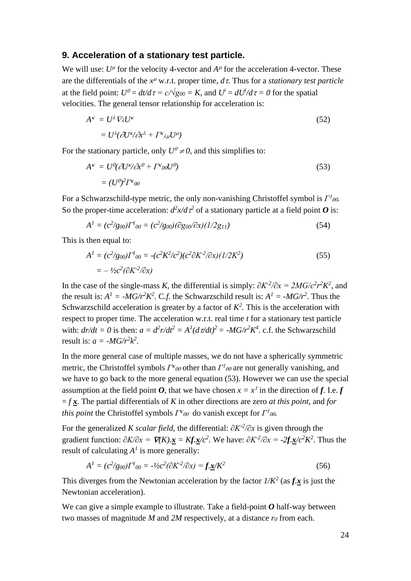#### **9. Acceleration of a stationary test particle.**

We will use:  $U^{\mu}$  for the velocity 4-vector and  $A^{\mu}$  for the acceleration 4-vector. These are the differentials of the  $x^{\mu}$  w.r.t. proper time,  $d\tau$ . Thus for a *stationary test particle* at the field point:  $U^0 = dt/d\tau = c/\sqrt{g_{00}} = K$ , and  $U^i = dU^i/d\tau = 0$  for the spatial velocities. The general tensor relationship for acceleration is:

$$
A^{\kappa} = U^{\lambda} \nabla_{\lambda} U^{\kappa}
$$
  
= 
$$
U^{\lambda} (\partial U^{\kappa} / \partial x^{\lambda} + \Gamma^{\kappa} \lambda_{\mu} U^{\mu})
$$
 (52)

For the stationary particle, only  $U^0 \neq 0$ , and this simplifies to:

$$
A^{\kappa} = U^{\theta}(\partial U^{\kappa}/\partial x^{\theta} + \Gamma^{\kappa}{}_{\theta\theta}U^{\theta})
$$
  
=  $(U^{\theta})^2\Gamma^{\kappa}{}_{\theta\theta}$  (53)

For a Schwarzschild-type metric, the only non-vanishing Christoffel symbol is *Γ* . So the proper-time acceleration:  $d^2x/d\tau^2$  of a stationary particle at a field point *O* is:

$$
A1 = (c2/g00)\Gamma100 = (c2/g00)(\partial g00/\partial x)(1/2g11)
$$
\n(54)

This is then equal to:

$$
A^{1} = (c^{2}/g_{00})\Gamma^{1}{}_{00} = -(c^{2}K^{2}/c^{2})(c^{2}\partial K^{2}/\partial x)(1/2K^{2})
$$
  
= -1/2c^{2}(\partial K^{2}/\partial x) (55)

In the case of the single-mass *K*, the differential is simply:  $\partial K^2/\partial x = 2MG/c^2r^2K^2$ , and the result is:  $A^1 = -MG/r^2K^2$ . C.f. the Schwarzschild result is:  $A^1 = -MG/r^2$ . Thus the Schwarzschild acceleration is greater by a factor of  $K^2$ . This is the acceleration with respect to proper time. The acceleration w.r.t. real time *t* for a stationary test particle with:  $dr/dt = 0$  is then:  $a = d^2r/dt^2 = A^2(d\tau/dt)^2 = -MG/r^2K^4$ . c.f. the Schwarzschild result is:  $a = -MG/r^2k^2$ .

In the more general case of multiple masses, we do not have a spherically symmetric metric, the Christoffel symbols *Γ<sup>κ</sup>ω* other than *Γ<sup>1</sup>ω* are not generally vanishing, and we have to go back to the more general equation (53). However we can use the special assumption at the field point *O*, that we have chosen  $x = x^1$  in the direction of *f*. I.e. *f*  $= f \times$ . The partial differentials of *K* in other directions are zero *at this point*, and *for this point* the Christoffel symbols *Γ<sup>κ</sup>ω* do vanish except for *Γ<sup>1</sup>ω*.

For the generalized *K scalar field,* the differential: *∂K-2 /∂x* is given through the gradient function:  $\partial K/\partial x = \nabla K \cdot \mathbf{x} = Kf \cdot \mathbf{x}/c^2$ . We have:  $\partial K^2/\partial x = -2f \cdot \mathbf{x}/c^2 K^2$ . Thus the result of calculating  $A<sup>1</sup>$  is more generally:

$$
A^{1} = (c^{2}/g_{00})\Gamma^{1}{}_{00} = -\frac{1}{2}c^{2}(\partial K^{2}/\partial x) = f \cdot \underline{x}/K^{2}
$$
\n(56)

This diverges from the Newtonian acceleration by the factor  $1/K^2$  (as  $f.\mathbf{x}$  is just the Newtonian acceleration).

We can give a simple example to illustrate. Take a field-point *O* half-way between two masses of magnitude *M* and *2M* respectively, at a distance *r<sup>0</sup>* from each.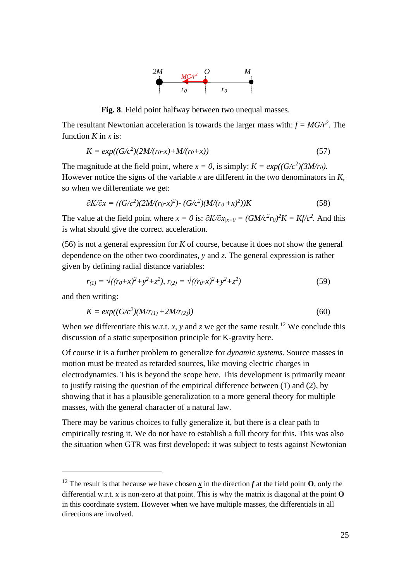

**Fig. 8**. Field point halfway between two unequal masses.

The resultant Newtonian acceleration is towards the larger mass with:  $f = MG/r^2$ . The function  $K$  in  $x$  is:

$$
K = exp((G/c2)(2M/(r_0-x)+M/(r_0+x))
$$
\n(57)

The magnitude at the field point, where  $x = 0$ , is simply:  $K = exp((G/c^2)(3M/r_0))$ . However notice the signs of the variable *x* are different in the two denominators in *K,*  so when we differentiate we get:

$$
\partial K/\partial x = ((G/c^2)(2M/(r_0-x)^2) - (G/c^2)(M/(r_0+x)^2))K\tag{58}
$$

The value at the field point where  $x = 0$  is:  $\partial K / \partial x_{x=0} = (GM/c^2 r_0)^2 K = K f/c^2$ . And this is what should give the correct acceleration.

(56) is not a general expression for *K* of course, because it does not show the general dependence on the other two coordinates, *y* and *z.* The general expression is rather given by defining radial distance variables:

$$
r_{(1)} = \sqrt{((r_0 + x)^2 + y^2 + z^2)}, \ r_{(2)} = \sqrt{((r_0 - x)^2 + y^2 + z^2)}
$$
\n(59)

and then writing:

$$
K = exp((G/c2)(M/r(1) + 2M/r(2)))
$$
\n(60)

When we differentiate this w.r.t. *x*, *y* and *z* we get the same result.<sup>12</sup> We conclude this discussion of a static superposition principle for K-gravity here.

Of course it is a further problem to generalize for *dynamic systems.* Source masses in motion must be treated as retarded sources, like moving electric charges in electrodynamics. This is beyond the scope here. This development is primarily meant to justify raising the question of the empirical difference between (1) and (2), by showing that it has a plausible generalization to a more general theory for multiple masses, with the general character of a natural law.

There may be various choices to fully generalize it, but there is a clear path to empirically testing it. We do not have to establish a full theory for this. This was also the situation when GTR was first developed: it was subject to tests against Newtonian

<sup>&</sup>lt;sup>12</sup> The result is that because we have chosen  $\boldsymbol{x}$  in the direction  $\boldsymbol{f}$  at the field point **O**, only the differential w.r.t. x is non-zero at that point. This is why the matrix is diagonal at the point **O** in this coordinate system. However when we have multiple masses, the differentials in all directions are involved.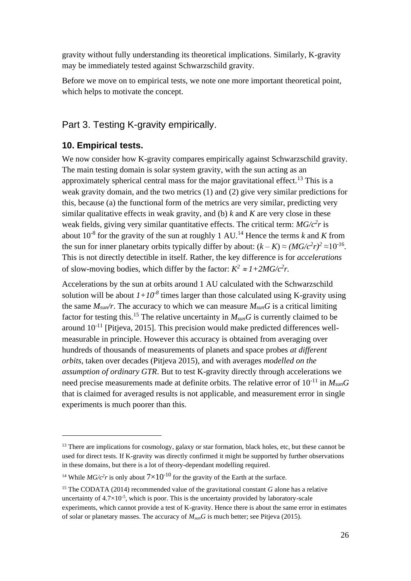gravity without fully understanding its theoretical implications. Similarly, K-gravity may be immediately tested against Schwarzschild gravity.

Before we move on to empirical tests, we note one more important theoretical point, which helps to motivate the concept.

# Part 3. Testing K-gravity empirically.

## **10. Empirical tests.**

We now consider how K-gravity compares empirically against Schwarzschild gravity. The main testing domain is solar system gravity, with the sun acting as an approximately spherical central mass for the major gravitational effect.<sup>13</sup> This is a weak gravity domain, and the two metrics (1) and (2) give very similar predictions for this, because (a) the functional form of the metrics are very similar, predicting very similar qualitative effects in weak gravity, and (b) *k* and *K* are very close in these weak fields, giving very similar quantitative effects. The critical term: *MG/c<sup>2</sup> r* is about  $10^{-8}$  for the gravity of the sun at roughly 1 AU.<sup>14</sup> Hence the terms *k* and *K* from the sun for inner planetary orbits typically differ by about:  $(k - K) \approx (MG/c^2 r)^2 \approx 10^{-16}$ . This is not directly detectible in itself. Rather, the key difference is for *accelerations* of slow-moving bodies, which differ by the factor:  $K^2 \approx 1 + 2MG/c^2r$ .

Accelerations by the sun at orbits around 1 AU calculated with the Schwarzschild solution will be about  $1+10^{-8}$  times larger than those calculated using K-gravity using the same  $M_{sun}/r$ . The accuracy to which we can measure  $M_{sun}G$  is a critical limiting factor for testing this.<sup>15</sup> The relative uncertainty in  $M_{sun}G$  is currently claimed to be around  $10^{-11}$  [Pitjeva, 2015]. This precision would make predicted differences wellmeasurable in principle. However this accuracy is obtained from averaging over hundreds of thousands of measurements of planets and space probes *at different orbits,* taken over decades (Pitjeva 2015), and with averages *modelled on the assumption of ordinary GTR*. But to test K-gravity directly through accelerations we need precise measurements made at definite orbits. The relative error of 10-11 in *MsunG*  that is claimed for averaged results is not applicable, and measurement error in single experiments is much poorer than this.

<sup>&</sup>lt;sup>13</sup> There are implications for cosmology, galaxy or star formation, black holes, etc, but these cannot be used for direct tests. If K-gravity was directly confirmed it might be supported by further observations in these domains, but there is a lot of theory-dependant modelling required.

<sup>&</sup>lt;sup>14</sup> While  $MG/c^2r$  is only about  $7 \times 10^{-10}$  for the gravity of the Earth at the surface.

<sup>15</sup> The CODATA (2014) recommended value of the gravitational constant *G* alone has a relative uncertainty of  $4.7 \times 10^{-5}$ , which is poor. This is the uncertainty provided by laboratory-scale experiments, which cannot provide a test of K-gravity. Hence there is about the same error in estimates of solar or planetary masses. The accuracy of *MsunG* is much better; see Pitjeva (2015).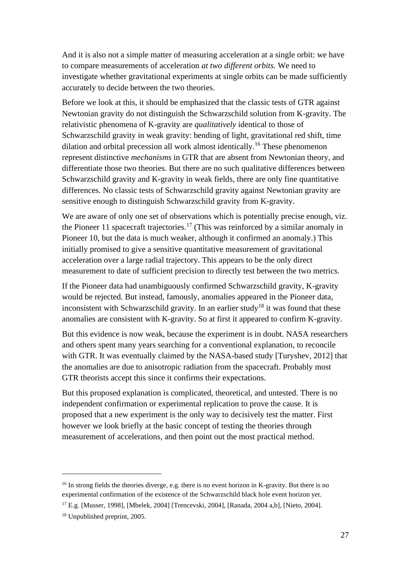And it is also not a simple matter of measuring acceleration at a single orbit: we have to compare measurements of acceleration *at two different orbits.* We need to investigate whether gravitational experiments at single orbits can be made sufficiently accurately to decide between the two theories.

Before we look at this, it should be emphasized that the classic tests of GTR against Newtonian gravity do not distinguish the Schwarzschild solution from K-gravity. The relativistic phenomena of K-gravity are *qualitatively* identical to those of Schwarzschild gravity in weak gravity: bending of light, gravitational red shift, time dilation and orbital precession all work almost identically.<sup>16</sup> These phenomenon represent distinctive *mechanisms* in GTR that are absent from Newtonian theory, and differentiate those two theories. But there are no such qualitative differences between Schwarzschild gravity and K-gravity in weak fields, there are only fine quantitative differences. No classic tests of Schwarzschild gravity against Newtonian gravity are sensitive enough to distinguish Schwarzschild gravity from K-gravity.

We are aware of only one set of observations which is potentially precise enough, viz. the Pioneer 11 spacecraft trajectories.<sup>17</sup> (This was reinforced by a similar anomaly in Pioneer 10, but the data is much weaker, although it confirmed an anomaly.) This initially promised to give a sensitive quantitative measurement of gravitational acceleration over a large radial trajectory. This appears to be the only direct measurement to date of sufficient precision to directly test between the two metrics.

If the Pioneer data had unambiguously confirmed Schwarzschild gravity, K-gravity would be rejected. But instead, famously, anomalies appeared in the Pioneer data, inconsistent with Schwarzschild gravity. In an earlier study<sup>18</sup> it was found that these anomalies are consistent with K-gravity. So at first it appeared to confirm K-gravity.

But this evidence is now weak, because the experiment is in doubt. NASA researchers and others spent many years searching for a conventional explanation, to reconcile with GTR. It was eventually claimed by the NASA-based study [Turyshev*,* 2012] that the anomalies are due to anisotropic radiation from the spacecraft. Probably most GTR theorists accept this since it confirms their expectations.

But this proposed explanation is complicated, theoretical, and untested. There is no independent confirmation or experimental replication to prove the cause. It is proposed that a new experiment is the only way to decisively test the matter. First however we look briefly at the basic concept of testing the theories through measurement of accelerations, and then point out the most practical method.

<sup>&</sup>lt;sup>16</sup> In strong fields the theories diverge, e.g. there is no event horizon in K-gravity. But there is no experimental confirmation of the existence of the Schwarzschild black hole event horizon yet.

<sup>17</sup> E.g. [Musser, 1998], [Mbelek, 2004] [Trencevski, 2004], [Ranada, 2004 a,b], [Nieto, 2004].

<sup>18</sup> Unpublished preprint, 2005.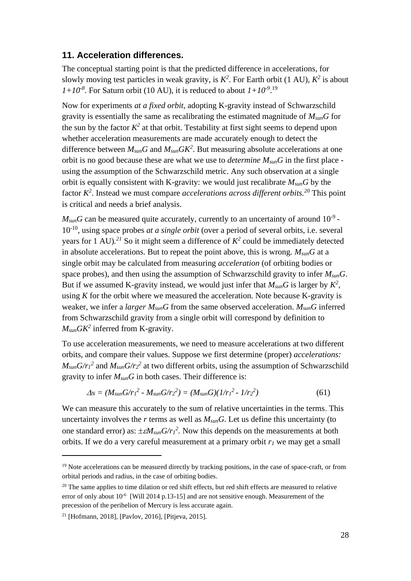## **11. Acceleration differences.**

The conceptual starting point is that the predicted difference in accelerations, for slowly moving test particles in weak gravity, is  $K^2$ . For Earth orbit (1 AU),  $K^2$  is about  $1+10^{-8}$ . For Saturn orbit (10 AU), it is reduced to about  $1+10^{-9}$ .<sup>19</sup>

Now for experiments *at a fixed orbit,* adopting K-gravity instead of Schwarzschild gravity is essentially the same as recalibrating the estimated magnitude of *MsunG* for the sun by the factor  $K^2$  at that orbit. Testability at first sight seems to depend upon whether acceleration measurements are made accurately enough to detect the difference between  $M_{sun}G$  and  $M_{sun}GK^2$ . But measuring absolute accelerations at one orbit is no good because these are what we use to *determine MsunG* in the first place using the assumption of the Schwarzschild metric. Any such observation at a single orbit is equally consistent with K-gravity: we would just recalibrate *MsunG* by the factor *K 2* . Instead we must compare *accelerations across different orbits.<sup>20</sup>* This point is critical and needs a brief analysis.

 $M_{sun}$ *G* can be measured quite accurately, currently to an uncertainty of around 10<sup>-9</sup> -10-10 , using space probes *at a single orbit* (over a period of several orbits, i.e. several years for 1 AU).<sup>21</sup> So it might seem a difference of  $K^2$  could be immediately detected in absolute accelerations. But to repeat the point above, this is wrong. *MsunG* at a single orbit may be calculated from measuring *acceleration* (of orbiting bodies or space probes), and then using the assumption of Schwarzschild gravity to infer *MsunG*. But if we assumed K-gravity instead, we would just infer that  $M_{sun}G$  is larger by  $K^2$ , using *K* for the orbit where we measured the acceleration. Note because K-gravity is weaker, we infer a *larger MsunG* from the same observed acceleration. *MsunG* inferred from Schwarzschild gravity from a single orbit will correspond by definition to *MsunGK<sup>2</sup>* inferred from K-gravity.

To use acceleration measurements, we need to measure accelerations at two different orbits, and compare their values. Suppose we first determine (proper) *accelerations:*   $M_{sun}G/r_1^2$  and  $M_{sun}G/r_2^2$  at two different orbits, using the assumption of Schwarzschild gravity to infer *MsunG* in both cases. Their difference is:

$$
\Delta_N = (M_{sun} G/r_1^2 - M_{sun} G/r_2^2) = (M_{sun} G)(1/r_1^2 - 1/r_2^2)
$$
\n(61)

We can measure this accurately to the sum of relative uncertainties in the terms. This uncertainty involves the *r* terms as well as *MsunG*. Let us define this uncertainty (to one standard error) as:  $\pm \varepsilon M_{sun} G / r_l^2$ . Now this depends on the measurements at both orbits. If we do a very careful measurement at a primary orbit *r<sup>1</sup>* we may get a small

<sup>&</sup>lt;sup>19</sup> Note accelerations can be measured directly by tracking positions, in the case of space-craft, or from orbital periods and radius, in the case of orbiting bodies.

 $20$  The same applies to time dilation or red shift effects, but red shift effects are measured to relative error of only about 10<sup>-6</sup> [Will 2014 p.13-15] and are not sensitive enough. Measurement of the precession of the perihelion of Mercury is less accurate again.

<sup>21</sup> [Hofmann, 2018], [Pavlov, 2016], [Pitjeva, 2015].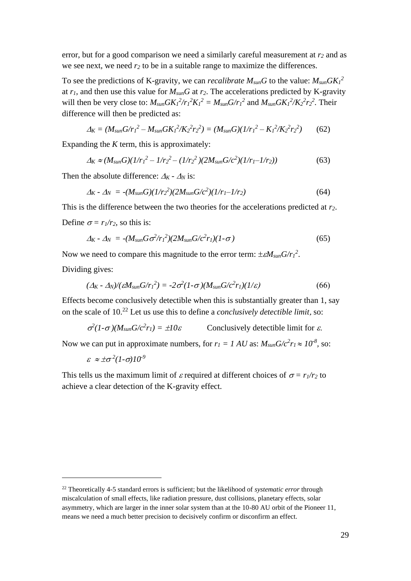error, but for a good comparison we need a similarly careful measurement at *r<sup>2</sup>* and as we see next, we need *r<sup>2</sup>* to be in a suitable range to maximize the differences.

To see the predictions of K-gravity, we can *recalibrate*  $M_{sun}G$  to the value:  $M_{sun}GK_1^2$ at  $r_1$ , and then use this value for  $M_{sun}G$  at  $r_2$ . The accelerations predicted by K-gravity will then be very close to:  $M_{sun} G K_1^2 / r_1^2 K_1^2 = M_{sun} G / r_1^2$  and  $M_{sun} G K_1^2 / K_2^2 r_2^2$ . Their difference will then be predicted as:

$$
\Delta_K = (M_{sun} G/r_1^2 - M_{sun} G K_1^2 / K_2^2 r_2^2) = (M_{sun} G)(1/r_1^2 - K_1^2 / K_2^2 r_2^2) \tag{62}
$$

Expanding the *K* term, this is approximately:

$$
\Delta_K \approx (M_{sun}G)(1/r_1^2 - 1/r_2^2 - (1/r_2^2)(2M_{sun}G/c^2)(1/r_1 - 1/r_2))
$$
\n(63)

Then the absolute difference:  $\Delta_K$  -  $\Delta_N$  is:

$$
\Delta_K - \Delta_N = -(M_{sun}G)(1/r_2^2)(2M_{sun}G/c^2)(1/r_1 - 1/r_2)
$$
\n(64)

This is the difference between the two theories for the accelerations predicted at *r2*. Define  $\sigma = r_1/r_2$ , so this is:

$$
\Delta_K - \Delta_N = -(M_{sun} G \sigma^2 / r_1^2) (2M_{sun} G / c^2 r_1) (1 - \sigma)
$$
\n(65)

Now we need to compare this magnitude to the error term:  $\pm \varepsilon M_{sun} G / r_I^2$ .

Dividing gives:

$$
(\Delta_K - \Delta_N) / (\varepsilon M_{sun} G / r_1^2) = -2 \sigma^2 (1 - \sigma) (M_{sun} G / c^2 r_1) (1 / \varepsilon)
$$
\n(66)

Effects become conclusively detectible when this is substantially greater than 1, say on the scale of 10.<sup>22</sup> Let us use this to define a *conclusively detectible limit* so:

$$
\sigma^2 (1-\sigma) (M_{sun} G/c^2 r_1) = \pm 10 \varepsilon
$$
 Conclusively detectible limit for  $\varepsilon$ .

Now we can put in approximate numbers, for  $r_1 = 1 \text{ AU}$  as:  $M_{sun} G/c^2 r_1 \approx 10^{-8}$ , so:

 $\epsilon \approx \pm \sigma^2 (1-\sigma) 10^{-9}$ 

This tells us the maximum limit of  $\varepsilon$  required at different choices of  $\sigma = r_1/r_2$  to achieve a clear detection of the K-gravity effect.

<sup>22</sup> Theoretically 4-5 standard errors is sufficient; but the likelihood of *systematic error* through miscalculation of small effects, like radiation pressure, dust collisions, planetary effects, solar asymmetry, which are larger in the inner solar system than at the 10-80 AU orbit of the Pioneer 11, means we need a much better precision to decisively confirm or disconfirm an effect.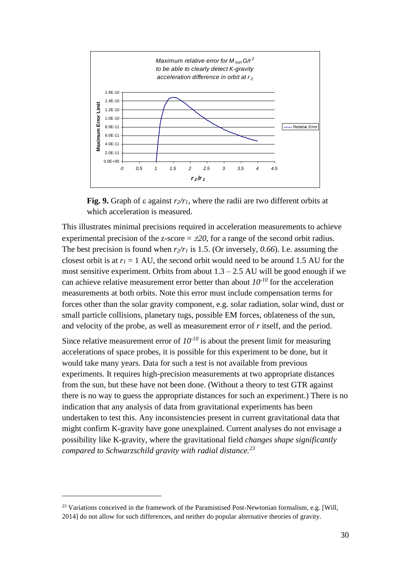

**Fig. 9.** Graph of  $\varepsilon$  against  $r_2/r_1$ , where the radii are two different orbits at which acceleration is measured.

This illustrates minimal precisions required in acceleration measurements to achieve experimental precision of the z-score  $= \pm 20$ , for a range of the second orbit radius. The best precision is found when  $r_2/r_1$  is 1.5. (Or inversely, 0.66). I.e. assuming the closest orbit is at  $r_1 = 1$  AU, the second orbit would need to be around 1.5 AU for the most sensitive experiment. Orbits from about  $1.3 - 2.5$  AU will be good enough if we can achieve relative measurement error better than about  $10^{-10}$  for the acceleration measurements at both orbits. Note this error must include compensation terms for forces other than the solar gravity component, e.g. solar radiation, solar wind, dust or small particle collisions, planetary tugs, possible EM forces, oblateness of the sun, and velocity of the probe, as well as measurement error of *r* itself, and the period.

Since relative measurement error of  $10^{-10}$  is about the present limit for measuring accelerations of space probes, it is possible for this experiment to be done, but it would take many years. Data for such a test is not available from previous experiments. It requires high-precision measurements at two appropriate distances from the sun, but these have not been done. (Without a theory to test GTR against there is no way to guess the appropriate distances for such an experiment.) There is no indication that any analysis of data from gravitational experiments has been undertaken to test this. Any inconsistencies present in current gravitational data that might confirm K-gravity have gone unexplained. Current analyses do not envisage a possibility like K-gravity, where the gravitational field *changes shape significantly compared to Schwarzschild gravity with radial distance.<sup>23</sup>*

<sup>&</sup>lt;sup>23</sup> Variations conceived in the framework of the Paramistised Post-Newtonian formalism, e.g. [Will, 2014] do not allow for such differences, and neither do popular alternative theories of gravity.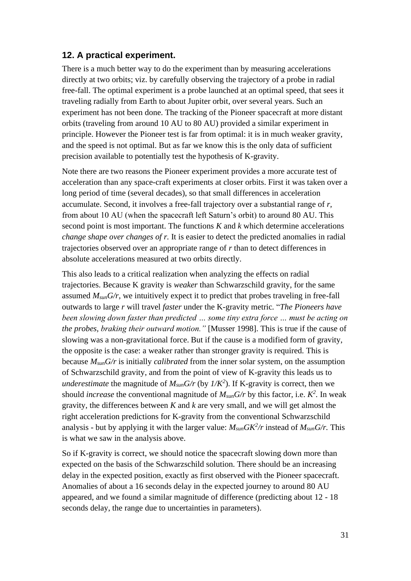## **12. A practical experiment.**

There is a much better way to do the experiment than by measuring accelerations directly at two orbits; viz. by carefully observing the trajectory of a probe in radial free-fall. The optimal experiment is a probe launched at an optimal speed, that sees it traveling radially from Earth to about Jupiter orbit, over several years. Such an experiment has not been done. The tracking of the Pioneer spacecraft at more distant orbits (traveling from around 10 AU to 80 AU) provided a similar experiment in principle. However the Pioneer test is far from optimal: it is in much weaker gravity, and the speed is not optimal. But as far we know this is the only data of sufficient precision available to potentially test the hypothesis of K-gravity.

Note there are two reasons the Pioneer experiment provides a more accurate test of acceleration than any space-craft experiments at closer orbits. First it was taken over a long period of time (several decades), so that small differences in acceleration accumulate. Second, it involves a free-fall trajectory over a substantial range of *r,*  from about 10 AU (when the spacecraft left Saturn's orbit) to around 80 AU. This second point is most important. The functions *K* and *k* which determine accelerations *change shape over changes of r.* It is easier to detect the predicted anomalies in radial trajectories observed over an appropriate range of *r* than to detect differences in absolute accelerations measured at two orbits directly.

This also leads to a critical realization when analyzing the effects on radial trajectories. Because K gravity is *weaker* than Schwarzschild gravity, for the same assumed *MsunG/r*, we intuitively expect it to predict that probes traveling in free-fall outwards to large *r* will travel *faster* under the K-gravity metric*.* "*The Pioneers have been slowing down faster than predicted … some tiny extra force … must be acting on the probes, braking their outward motion."* [Musser 1998]. This is true if the cause of slowing was a non-gravitational force. But if the cause is a modified form of gravity, the opposite is the case: a weaker rather than stronger gravity is required. This is because *MsunG/r* is initially *calibrated* from the inner solar system, on the assumption of Schwarzschild gravity, and from the point of view of K-gravity this leads us to *underestimate* the magnitude of  $M_{sun}G/r$  (by  $1/K^2$ ). If K-gravity is correct, then we should *increase* the conventional magnitude of  $M_{sun}G/r$  by this factor, i.e.  $K^2$ . In weak gravity, the differences between *K* and *k* are very small, and we will get almost the right acceleration predictions for K-gravity from the conventional Schwarzschild analysis - but by applying it with the larger value:  $M_{sun} G K^2/r$  instead of  $M_{sun} G/r$ . This is what we saw in the analysis above.

So if K-gravity is correct, we should notice the spacecraft slowing down more than expected on the basis of the Schwarzschild solution. There should be an increasing delay in the expected position, exactly as first observed with the Pioneer spacecraft. Anomalies of about a 16 seconds delay in the expected journey to around 80 AU appeared, and we found a similar magnitude of difference (predicting about 12 - 18 seconds delay, the range due to uncertainties in parameters).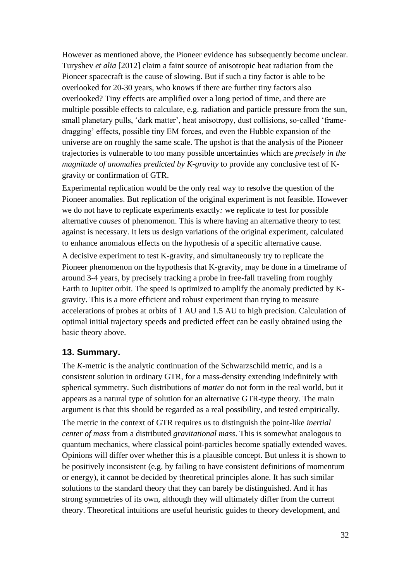However as mentioned above, the Pioneer evidence has subsequently become unclear. Turyshev *et alia* [2012] claim a faint source of anisotropic heat radiation from the Pioneer spacecraft is the cause of slowing. But if such a tiny factor is able to be overlooked for 20-30 years, who knows if there are further tiny factors also overlooked? Tiny effects are amplified over a long period of time, and there are multiple possible effects to calculate, e.g. radiation and particle pressure from the sun, small planetary pulls, 'dark matter', heat anisotropy, dust collisions, so-called 'framedragging' effects, possible tiny EM forces, and even the Hubble expansion of the universe are on roughly the same scale. The upshot is that the analysis of the Pioneer trajectories is vulnerable to too many possible uncertainties which are *precisely in the magnitude of anomalies predicted by K-gravity* to provide any conclusive test of Kgravity or confirmation of GTR.

Experimental replication would be the only real way to resolve the question of the Pioneer anomalies. But replication of the original experiment is not feasible. However we do not have to replicate experiments exactly*:* we replicate to test for possible alternative *causes* of phenomenon. This is where having an alternative theory to test against is necessary. It lets us design variations of the original experiment, calculated to enhance anomalous effects on the hypothesis of a specific alternative cause.

A decisive experiment to test K-gravity, and simultaneously try to replicate the Pioneer phenomenon on the hypothesis that K-gravity, may be done in a timeframe of around 3-4 years, by precisely tracking a probe in free-fall traveling from roughly Earth to Jupiter orbit. The speed is optimized to amplify the anomaly predicted by Kgravity. This is a more efficient and robust experiment than trying to measure accelerations of probes at orbits of 1 AU and 1.5 AU to high precision. Calculation of optimal initial trajectory speeds and predicted effect can be easily obtained using the basic theory above.

### **13. Summary.**

The *K-*metric is the analytic continuation of the Schwarzschild metric, and is a consistent solution in ordinary GTR, for a mass-density extending indefinitely with spherical symmetry. Such distributions of *matter* do not form in the real world, but it appears as a natural type of solution for an alternative GTR-type theory. The main argument is that this should be regarded as a real possibility, and tested empirically. The metric in the context of GTR requires us to distinguish the point-like *inertial center of mass* from a distributed *gravitational mass*. This is somewhat analogous to quantum mechanics, where classical point-particles become spatially extended waves. Opinions will differ over whether this is a plausible concept. But unless it is shown to be positively inconsistent (e.g. by failing to have consistent definitions of momentum or energy), it cannot be decided by theoretical principles alone. It has such similar solutions to the standard theory that they can barely be distinguished. And it has strong symmetries of its own, although they will ultimately differ from the current theory. Theoretical intuitions are useful heuristic guides to theory development, and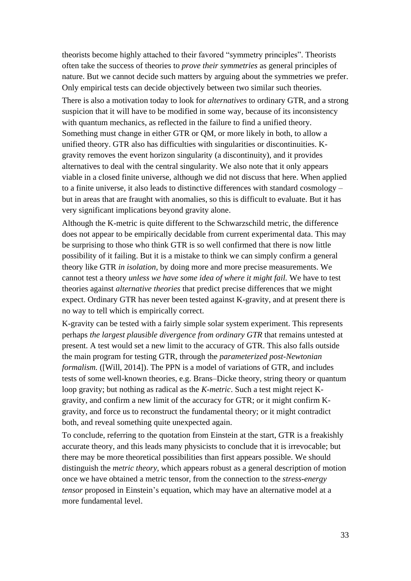theorists become highly attached to their favored "symmetry principles". Theorists often take the success of theories to *prove their symmetries* as general principles of nature. But we cannot decide such matters by arguing about the symmetries we prefer. Only empirical tests can decide objectively between two similar such theories.

There is also a motivation today to look for *alternatives* to ordinary GTR, and a strong suspicion that it will have to be modified in some way, because of its inconsistency with quantum mechanics, as reflected in the failure to find a unified theory. Something must change in either GTR or QM, or more likely in both, to allow a unified theory. GTR also has difficulties with singularities or discontinuities. Kgravity removes the event horizon singularity (a discontinuity), and it provides alternatives to deal with the central singularity. We also note that it only appears viable in a closed finite universe, although we did not discuss that here. When applied to a finite universe, it also leads to distinctive differences with standard cosmology – but in areas that are fraught with anomalies, so this is difficult to evaluate. But it has very significant implications beyond gravity alone.

Although the K-metric is quite different to the Schwarzschild metric, the difference does not appear to be empirically decidable from current experimental data. This may be surprising to those who think GTR is so well confirmed that there is now little possibility of it failing. But it is a mistake to think we can simply confirm a general theory like GTR *in isolation,* by doing more and more precise measurements. We cannot test a theory *unless we have some idea of where it might fail.* We have to test theories against *alternative theories* that predict precise differences that we might expect. Ordinary GTR has never been tested against K-gravity, and at present there is no way to tell which is empirically correct.

K-gravity can be tested with a fairly simple solar system experiment. This represents perhaps *the largest plausible divergence from ordinary GTR* that remains untested at present. A test would set a new limit to the accuracy of GTR. This also falls outside the main program for testing GTR, through the *parameterized post-Newtonian formalism.* ([Will, 2014]). The PPN is a model of variations of GTR, and includes tests of some well-known theories, e.g. Brans–Dicke theory, string theory or quantum loop gravity; but nothing as radical as the *K-metric*. Such a test might reject Kgravity, and confirm a new limit of the accuracy for GTR; or it might confirm Kgravity, and force us to reconstruct the fundamental theory; or it might contradict both, and reveal something quite unexpected again.

To conclude, referring to the quotation from Einstein at the start, GTR is a freakishly accurate theory, and this leads many physicists to conclude that it is irrevocable; but there may be more theoretical possibilities than first appears possible. We should distinguish the *metric theory,* which appears robust as a general description of motion once we have obtained a metric tensor, from the connection to the *stress-energy tensor* proposed in Einstein's equation, which may have an alternative model at a more fundamental level.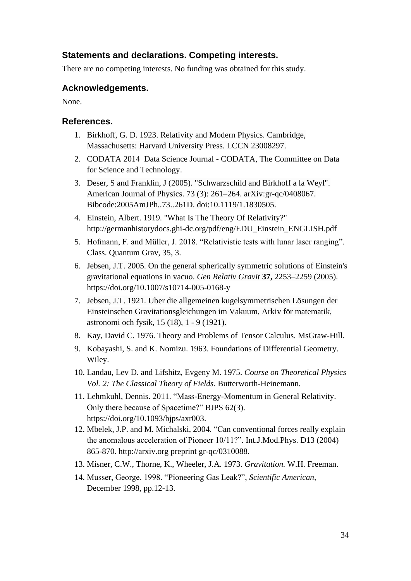## **Statements and declarations. Competing interests.**

There are no competing interests. No funding was obtained for this study.

## **Acknowledgements.**

None.

## **References.**

- 1. Birkhoff, G. D. 1923. Relativity and Modern Physics. Cambridge, Massachusetts: Harvard University Press. LCCN 23008297.
- 2. CODATA 2014 Data Science Journal CODATA, The Committee on Data for Science and Technology.
- 3. Deser, S and Franklin, J (2005). "Schwarzschild and Birkhoff a la Weyl". American Journal of Physics. 73 (3): 261–264. arXiv:gr-qc/0408067. Bibcode:2005AmJPh..73..261D. doi:10.1119/1.1830505.
- 4. Einstein, Albert. 1919. "What Is The Theory Of Relativity?" http://germanhistorydocs.ghi-dc.org/pdf/eng/EDU\_Einstein\_ENGLISH.pdf
- 5. Hofmann, F. and Müller, J. 2018. "Relativistic tests with lunar laser ranging". Class. Quantum Grav, 35, 3.
- 6. Jebsen, J.T. 2005. On the general spherically symmetric solutions of Einstein's gravitational equations in vacuo. *Gen Relativ Gravit* **37,** 2253–2259 (2005). https://doi.org/10.1007/s10714-005-0168-y
- 7. Jebsen, J.T. 1921. Uber die allgemeinen kugelsymmetrischen Lösungen der Einsteinschen Gravitationsgleichungen im Vakuum, Arkiv för matematik, astronomi och fysik, 15 (18), 1 - 9 (1921).
- 8. Kay, David C. 1976. Theory and Problems of Tensor Calculus. MsGraw-Hill.
- 9. Kobayashi, S. and K. Nomizu. 1963. Foundations of Differential Geometry. Wiley.
- 10. Landau, Lev D. and Lifshitz, Evgeny M. 1975. *Course on Theoretical Physics Vol. 2: The Classical Theory of Fields*. Butterworth-Heinemann.
- 11. Lehmkuhl, Dennis. 2011. "Mass-Energy-Momentum in General Relativity. Only there because of Spacetime?" BJPS 62(3). https://doi.org/10.1093/bjps/axr003.
- 12. Mbelek, J.P. and M. Michalski, 2004. "Can conventional forces really explain the anomalous acceleration of Pioneer 10/11?". Int.J.Mod.Phys. D13 (2004) 865-870. http://arxiv.org preprint gr-qc/0310088.
- 13. Misner, C.W., Thorne, K., Wheeler, J.A. 1973. *Gravitation.* W.H. Freeman.
- 14. Musser, George. 1998. "Pioneering Gas Leak?", *Scientific American,*  December 1998, pp.12-13.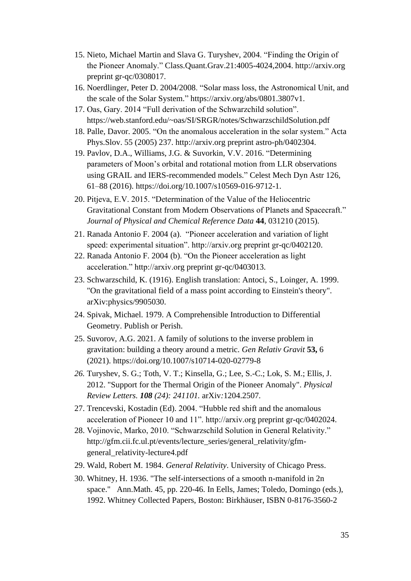- 15. Nieto, Michael Martin and Slava G. Turyshev, 2004. "Finding the Origin of the Pioneer Anomaly." Class.Quant.Grav.21:4005-4024,2004. http://arxiv.org preprint gr-qc/0308017.
- 16. Noerdlinger, Peter D. 2004/2008. "Solar mass loss, the Astronomical Unit, and the scale of the Solar System." https://arxiv.org/abs/0801.3807v1.
- 17. Oas, Gary. 2014 "Full derivation of the Schwarzchild solution". https://web.stanford.edu/~oas/SI/SRGR/notes/SchwarzschildSolution.pdf
- 18. Palle, Davor. 2005. "On the anomalous acceleration in the solar system." Acta Phys.Slov. 55 (2005) 237. http://arxiv.org preprint astro-ph/0402304.
- 19. Pavlov, D.A., Williams, J.G. & Suvorkin, V.V. 2016. "Determining parameters of Moon's orbital and rotational motion from LLR observations using GRAIL and IERS-recommended models." Celest Mech Dyn Astr 126, 61–88 (2016). https://doi.org/10.1007/s10569-016-9712-1.
- 20. Pitjeva, E.V. 2015. "Determination of the Value of the Heliocentric Gravitational Constant from Modern Observations of Planets and Spacecraft." *Journal of Physical and Chemical Reference Data* **44**, 031210 (2015).
- 21. Ranada Antonio F. 2004 (a). "Pioneer acceleration and variation of light speed: experimental situation". http://arxiv.org preprint gr-qc/0402120.
- 22. Ranada Antonio F. 2004 (b). "On the Pioneer acceleration as light acceleration." http://arxiv.org preprint gr-qc/0403013.
- 23. Schwarzschild, K. (1916). English translation: Antoci, S., Loinger, A. 1999. "On the gravitational field of a mass point according to Einstein's theory". arXiv:physics/9905030.
- 24. Spivak, Michael. 1979. A Comprehensible Introduction to Differential Geometry. Publish or Perish.
- 25. Suvorov, A.G. 2021. A family of solutions to the inverse problem in gravitation: building a theory around a metric. *Gen Relativ Gravit* **53,** 6 (2021). https://doi.org/10.1007/s10714-020-02779-8
- *26.* Turyshev, S. G.; Toth, V. T.; Kinsella, G.; Lee, S.-C.; Lok, S. M.; Ellis, J. 2012. "Support for the Thermal Origin of the Pioneer Anomaly". *Physical Review Letters. 108 (24): 241101.* arXiv*:*1204.2507*.*
- 27. Trencevski, Kostadin (Ed). 2004. "Hubble red shift and the anomalous acceleration of Pioneer 10 and 11". http://arxiv.org preprint gr-qc/0402024.
- 28. Vojinovic, Marko, 2010. "Schwarzschild Solution in General Relativity." http://gfm.cii.fc.ul.pt/events/lecture\_series/general\_relativity/gfmgeneral\_relativity-lecture4.pdf
- 29. Wald, Robert M. 1984. *General Relativity*. University of Chicago Press.
- 30. Whitney, H. 1936. "The self-intersections of a smooth n-manifold in 2n space." Ann.Math. 45, pp. 220-46. In Eells, James; Toledo, Domingo (eds.), 1992. Whitney Collected Papers, Boston: Birkhäuser, ISBN 0-8176-3560-2